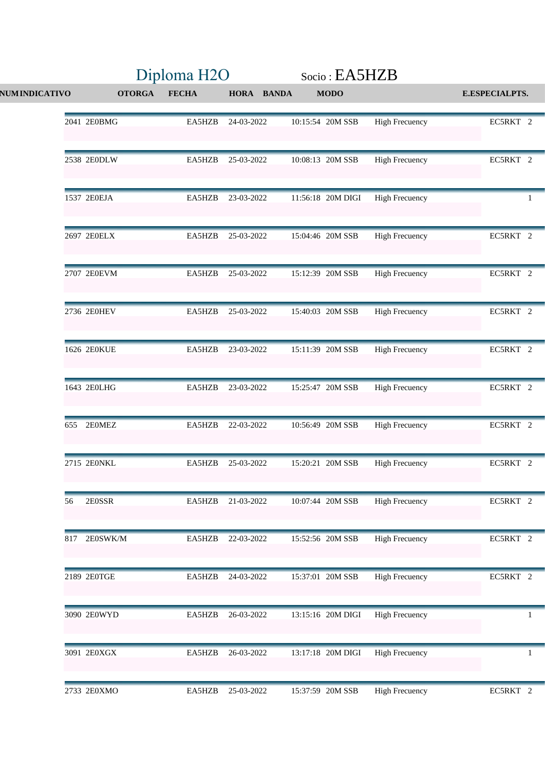|                      |               | Diploma H <sub>2O</sub> |                   |  | Socio: EA5HZB     |                       |                       |
|----------------------|---------------|-------------------------|-------------------|--|-------------------|-----------------------|-----------------------|
| <b>NUMINDICATIVO</b> | <b>OTORGA</b> | <b>FECHA</b>            | <b>HORA BANDA</b> |  | <b>MODO</b>       |                       | <b>E.ESPECIALPTS.</b> |
| 2041 2E0BMG          |               | EA5HZB                  | 24-03-2022        |  | 10:15:54 20M SSB  | <b>High Frecuency</b> | EC5RKT 2              |
| 2538 2E0DLW          |               | EA5HZB                  | 25-03-2022        |  | 10:08:13 20M SSB  | <b>High Frecuency</b> | EC5RKT 2              |
| 1537 2E0EJA          |               | EA5HZB                  | 23-03-2022        |  | 11:56:18 20M DIGI | <b>High Frecuency</b> | $\mathbf{1}$          |
| 2697 2E0ELX          |               | EA5HZB                  | 25-03-2022        |  | 15:04:46 20M SSB  | <b>High Frecuency</b> | EC5RKT 2              |
| 2707 2E0EVM          |               | EA5HZB                  | 25-03-2022        |  | 15:12:39 20M SSB  | <b>High Frecuency</b> | EC5RKT 2              |
| 2736 2E0HEV          |               | EA5HZB                  | 25-03-2022        |  | 15:40:03 20M SSB  | <b>High Frecuency</b> | EC5RKT 2              |
| 1626 2E0KUE          |               | EA5HZB                  | 23-03-2022        |  | 15:11:39 20M SSB  | <b>High Frecuency</b> | EC5RKT 2              |
| 1643 2E0LHG          |               | EA5HZB                  | 23-03-2022        |  | 15:25:47 20M SSB  | <b>High Frecuency</b> | EC5RKT 2              |
| 655 2E0MEZ           |               | EA5HZB                  | 22-03-2022        |  | 10:56:49 20M SSB  | <b>High Frecuency</b> | EC5RKT 2              |
| 2715 2E0NKL          |               | EA5HZB                  | 25-03-2022        |  | 15:20:21 20M SSB  | <b>High Frecuency</b> | EC5RKT 2              |
| 2E0SSR<br>56         |               | EA5HZB                  | 21-03-2022        |  | 10:07:44 20M SSB  | <b>High Frecuency</b> | EC5RKT 2              |
| 817 2E0SWK/M         |               | EA5HZB                  | 22-03-2022        |  | 15:52:56 20M SSB  | <b>High Frecuency</b> | EC5RKT 2              |
| 2189 2E0TGE          |               | EA5HZB                  | 24-03-2022        |  | 15:37:01 20M SSB  | <b>High Frecuency</b> | EC5RKT 2              |
| 3090 2E0WYD          |               | EA5HZB                  | 26-03-2022        |  | 13:15:16 20M DIGI | <b>High Frecuency</b> | $\mathbf{1}$          |
| 3091 2E0XGX          |               | EA5HZB                  | 26-03-2022        |  | 13:17:18 20M DIGI | <b>High Frecuency</b> | $\mathbf{1}$          |
| 2733 2E0XMO          |               | EA5HZB                  | 25-03-2022        |  | 15:37:59 20M SSB  | <b>High Frecuency</b> | EC5RKT 2              |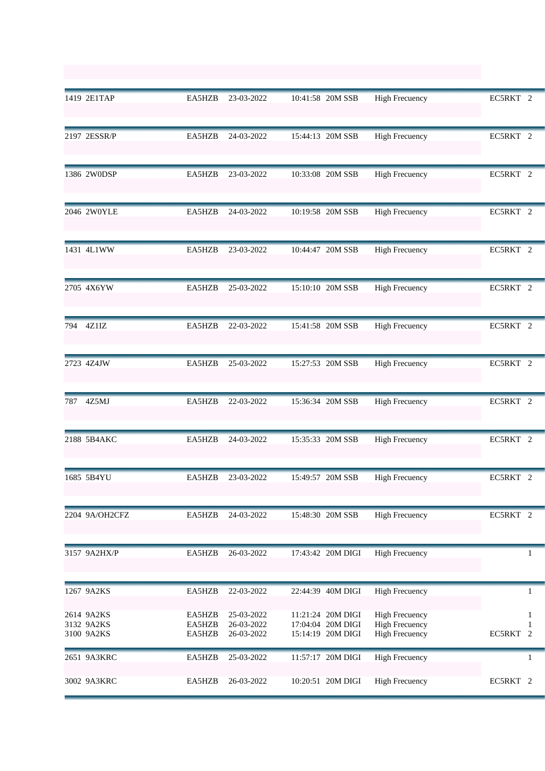|     | 1419 2E1TAP                            | EA5HZB                     | 23-03-2022                             | 10:41:58 20M SSB                                            | <b>High Frecuency</b>                                                   | EC5RKT 2         |
|-----|----------------------------------------|----------------------------|----------------------------------------|-------------------------------------------------------------|-------------------------------------------------------------------------|------------------|
|     | 2197 2ESSR/P                           | EA5HZB                     | 24-03-2022                             | 15:44:13 20M SSB                                            | <b>High Frecuency</b>                                                   | EC5RKT 2         |
|     | 1386 2W0DSP                            | EA5HZB                     | 23-03-2022                             | 10:33:08 20M SSB                                            | <b>High Frecuency</b>                                                   | EC5RKT 2         |
|     | 2046 2W0YLE                            | EA5HZB                     | 24-03-2022                             | 10:19:58 20M SSB                                            | <b>High Frecuency</b>                                                   | EC5RKT 2         |
|     | 1431 4L1WW                             | EA5HZB                     | 23-03-2022                             | 10:44:47 20M SSB                                            | <b>High Frecuency</b>                                                   | EC5RKT 2         |
|     | 2705 4X6YW                             | EA5HZB                     | 25-03-2022                             | 15:10:10 20M SSB                                            | <b>High Frecuency</b>                                                   | EC5RKT 2         |
|     | 794 4Z1IZ                              | EA5HZB                     | 22-03-2022                             | 15:41:58 20M SSB                                            | <b>High Frecuency</b>                                                   | EC5RKT 2         |
|     | 2723 4Z4JW                             | EA5HZB                     | 25-03-2022                             | 15:27:53 20M SSB                                            | <b>High Frecuency</b>                                                   | EC5RKT 2         |
| 787 | 4Z5MJ                                  | EA5HZB                     | 22-03-2022                             | 15:36:34 20M SSB                                            | <b>High Frecuency</b>                                                   | EC5RKT 2         |
|     | 2188 5B4AKC                            | EA5HZB                     | 24-03-2022                             | 15:35:33 20M SSB                                            | <b>High Frecuency</b>                                                   | EC5RKT 2         |
|     | 1685 5B4YU                             | EA5HZB                     | 23-03-2022                             | 15:49:57 20M SSB                                            | <b>High Frecuency</b>                                                   | EC5RKT 2         |
|     | 2204 9A/OH2CFZ                         | EA5HZB                     | 24-03-2022                             | 15:48:30 20M SSB                                            | <b>High Frecuency</b>                                                   | EC5RKT 2         |
|     | 3157 9A2HX/P                           | EA5HZB                     | 26-03-2022                             | 17:43:42 20M DIGI                                           | <b>High Frecuency</b>                                                   |                  |
|     | 1267 9A2KS                             | EA5HZB                     | 22-03-2022                             | 22:44:39 40M DIGI                                           | <b>High Frecuency</b>                                                   | 1                |
|     | 2614 9A2KS<br>3132 9A2KS<br>3100 9A2KS | EA5HZB<br>EA5HZB<br>EA5HZB | 25-03-2022<br>26-03-2022<br>26-03-2022 | 11:21:24 20M DIGI<br>17:04:04 20M DIGI<br>15:14:19 20M DIGI | <b>High Frecuency</b><br><b>High Frecuency</b><br><b>High Frecuency</b> | 1<br>EC5RKT<br>2 |
|     | 2651 9A3KRC                            | EA5HZB                     | 25-03-2022                             | 11:57:17 20M DIGI                                           | <b>High Frecuency</b>                                                   | 1                |
|     | 3002 9A3KRC                            | EA5HZB                     | 26-03-2022                             | 10:20:51 20M DIGI                                           | <b>High Frecuency</b>                                                   | EC5RKT 2         |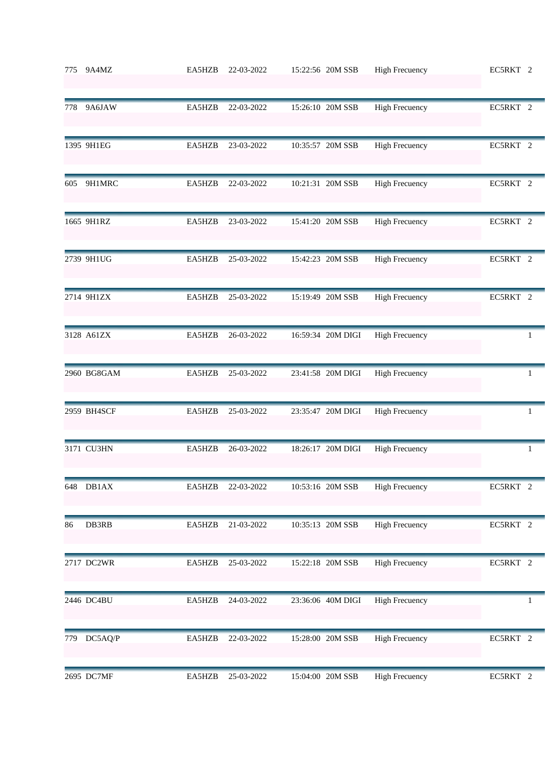|     | 775 9A4MZ   | EA5HZB | 22-03-2022 | 15:22:56 20M SSB  | <b>High Frecuency</b> | EC5RKT 2     |
|-----|-------------|--------|------------|-------------------|-----------------------|--------------|
| 778 | 9A6JAW      | EA5HZB | 22-03-2022 | 15:26:10 20M SSB  | <b>High Frecuency</b> | EC5RKT 2     |
|     | 1395 9H1EG  | EA5HZB | 23-03-2022 | 10:35:57 20M SSB  | <b>High Frecuency</b> | EC5RKT 2     |
| 605 | 9H1MRC      | EA5HZB | 22-03-2022 | 10:21:31 20M SSB  | <b>High Frecuency</b> | EC5RKT 2     |
|     | 1665 9H1RZ  | EA5HZB | 23-03-2022 | 15:41:20 20M SSB  | <b>High Frecuency</b> | EC5RKT 2     |
|     | 2739 9H1UG  | EA5HZB | 25-03-2022 | 15:42:23 20M SSB  | <b>High Frecuency</b> | EC5RKT 2     |
|     | 2714 9H1ZX  | EA5HZB | 25-03-2022 | 15:19:49 20M SSB  | <b>High Frecuency</b> | EC5RKT 2     |
|     | 3128 A61ZX  | EA5HZB | 26-03-2022 | 16:59:34 20M DIGI | <b>High Frecuency</b> | 1            |
|     | 2960 BG8GAM | EA5HZB | 25-03-2022 | 23:41:58 20M DIGI | <b>High Frecuency</b> | 1            |
|     | 2959 BH4SCF | EA5HZB | 25-03-2022 | 23:35:47 20M DIGI | <b>High Frecuency</b> | $\mathbf{1}$ |
|     | 3171 CU3HN  | EA5HZB | 26-03-2022 | 18:26:17 20M DIGI | <b>High Frecuency</b> | 1            |
|     | 648 DB1AX   | EA5HZB | 22-03-2022 | 10:53:16 20M SSB  | <b>High Frecuency</b> | EC5RKT 2     |
| 86  | DB3RB       | EA5HZB | 21-03-2022 | 10:35:13 20M SSB  | <b>High Frecuency</b> | EC5RKT 2     |
|     | 2717 DC2WR  | EA5HZB | 25-03-2022 | 15:22:18 20M SSB  | <b>High Frecuency</b> | EC5RKT 2     |
|     | 2446 DC4BU  | EA5HZB | 24-03-2022 | 23:36:06 40M DIGI | <b>High Frecuency</b> |              |
| 779 | DC5AQ/P     | EA5HZB | 22-03-2022 | 15:28:00 20M SSB  | <b>High Frecuency</b> | EC5RKT 2     |
|     | 2695 DC7MF  | EA5HZB | 25-03-2022 | 15:04:00 20M SSB  | <b>High Frecuency</b> | EC5RKT 2     |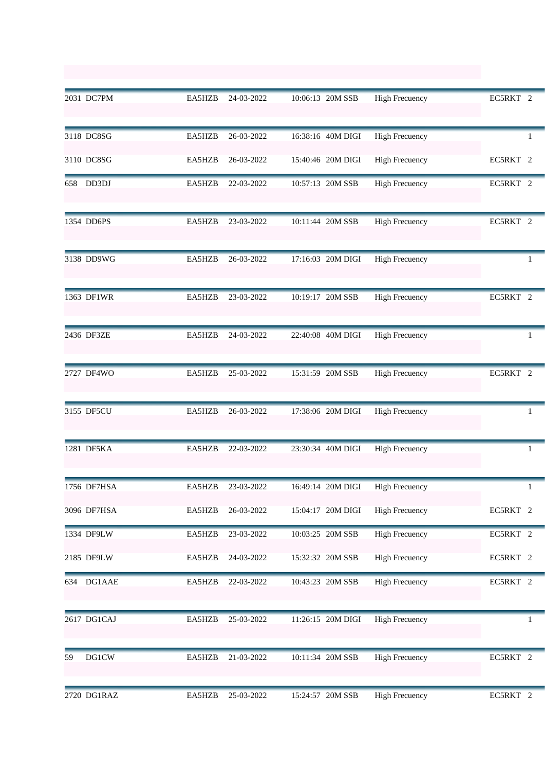|    | 2031 DC7PM   | EA5HZB | 24-03-2022 | 10:06:13 20M SSB  | <b>High Frecuency</b> | EC5RKT 2     |
|----|--------------|--------|------------|-------------------|-----------------------|--------------|
|    | 3118 DC8SG   | EA5HZB | 26-03-2022 | 16:38:16 40M DIGI | <b>High Frecuency</b> | 1            |
|    | 3110 DC8SG   | EA5HZB | 26-03-2022 | 15:40:46 20M DIGI | <b>High Frecuency</b> | EC5RKT 2     |
|    | 658 DD3DJ    | EA5HZB | 22-03-2022 | 10:57:13 20M SSB  | <b>High Frecuency</b> | EC5RKT 2     |
|    | 1354 DD6PS   | EA5HZB | 23-03-2022 | 10:11:44 20M SSB  | <b>High Frecuency</b> | EC5RKT 2     |
|    | 3138 DD9WG   | EA5HZB | 26-03-2022 | 17:16:03 20M DIGI | <b>High Frecuency</b> | 1            |
|    | 1363 DF1WR   | EA5HZB | 23-03-2022 | 10:19:17 20M SSB  | <b>High Frecuency</b> | EC5RKT 2     |
|    | 2436 DF3ZE   | EA5HZB | 24-03-2022 | 22:40:08 40M DIGI | <b>High Frecuency</b> | 1            |
|    | 2727 DF4WO   | EA5HZB | 25-03-2022 | 15:31:59 20M SSB  | <b>High Frecuency</b> | EC5RKT 2     |
|    | 3155 DF5CU   | EA5HZB | 26-03-2022 | 17:38:06 20M DIGI | <b>High Frecuency</b> | 1            |
|    | 1281 DF5KA   | EA5HZB | 22-03-2022 | 23:30:34 40M DIGI | <b>High Frecuency</b> | $\mathbf{1}$ |
|    | 1756 DF7HSA  | EA5HZB | 23-03-2022 | 16:49:14 20M DIGI | <b>High Frecuency</b> |              |
|    | 3096 DF7HSA  | EA5HZB | 26-03-2022 | 15:04:17 20M DIGI | <b>High Frecuency</b> | EC5RKT 2     |
|    | 1334 DF9LW   | EA5HZB | 23-03-2022 | 10:03:25 20M SSB  | <b>High Frecuency</b> | EC5RKT 2     |
|    | 2185 DF9LW   | EA5HZB | 24-03-2022 | 15:32:32 20M SSB  | <b>High Frecuency</b> | EC5RKT 2     |
|    | 634 DG1AAE   | EA5HZB | 22-03-2022 | 10:43:23 20M SSB  | <b>High Frecuency</b> | EC5RKT 2     |
|    | 2617 DG1CAJ  | EA5HZB | 25-03-2022 | 11:26:15 20M DIGI | <b>High Frecuency</b> | 1            |
| 59 | <b>DG1CW</b> | EA5HZB | 21-03-2022 | 10:11:34 20M SSB  | <b>High Frecuency</b> | EC5RKT 2     |
|    | 2720 DG1RAZ  | EA5HZB | 25-03-2022 | 15:24:57 20M SSB  | <b>High Frecuency</b> | EC5RKT 2     |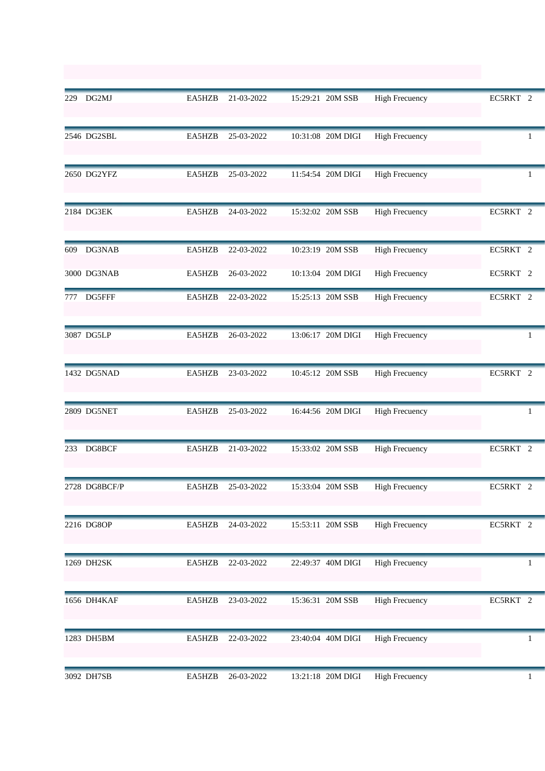|     | 229 DG2MJ     | EA5HZB | 21-03-2022 | 15:29:21 20M SSB  | <b>High Frecuency</b> | EC5RKT 2            |
|-----|---------------|--------|------------|-------------------|-----------------------|---------------------|
|     | 2546 DG2SBL   | EA5HZB | 25-03-2022 | 10:31:08 20M DIGI | <b>High Frecuency</b> | 1                   |
|     | 2650 DG2YFZ   | EA5HZB | 25-03-2022 | 11:54:54 20M DIGI | <b>High Frecuency</b> | 1                   |
|     | 2184 DG3EK    | EA5HZB | 24-03-2022 | 15:32:02 20M SSB  | <b>High Frecuency</b> | EC5RKT 2            |
| 609 | DG3NAB        | EA5HZB | 22-03-2022 | 10:23:19 20M SSB  | <b>High Frecuency</b> | EC5RKT 2            |
|     | 3000 DG3NAB   | EA5HZB | 26-03-2022 | 10:13:04 20M DIGI | <b>High Frecuency</b> | EC5RKT 2            |
| 777 | DG5FFF        | EA5HZB | 22-03-2022 | 15:25:13 20M SSB  | <b>High Frecuency</b> | EC5RKT 2            |
|     | 3087 DG5LP    | EA5HZB | 26-03-2022 | 13:06:17 20M DIGI | <b>High Frecuency</b> | 1                   |
|     | 1432 DG5NAD   | EA5HZB | 23-03-2022 | 10:45:12 20M SSB  | <b>High Frecuency</b> | EC5RKT 2            |
|     | 2809 DG5NET   | EA5HZB | 25-03-2022 | 16:44:56 20M DIGI | <b>High Frecuency</b> | 1                   |
| 233 | DG8BCF        | EA5HZB | 21-03-2022 | 15:33:02 20M SSB  | <b>High Frecuency</b> | EC5RKT 2            |
|     | 2728 DG8BCF/P | EA5HZB | 25-03-2022 | 15:33:04 20M SSB  | <b>High Frecuency</b> | EC5RKT <sub>2</sub> |
|     | 2216 DG8OP    | EA5HZB | 24-03-2022 | 15:53:11 20M SSB  | <b>High Frecuency</b> | EC5RKT 2            |
|     | 1269 DH2SK    | EA5HZB | 22-03-2022 | 22:49:37 40M DIGI | <b>High Frecuency</b> |                     |
|     | 1656 DH4KAF   | EA5HZB | 23-03-2022 | 15:36:31 20M SSB  | <b>High Frecuency</b> | EC5RKT 2            |
|     | 1283 DH5BM    | EA5HZB | 22-03-2022 | 23:40:04 40M DIGI | <b>High Frecuency</b> |                     |
|     | 3092 DH7SB    | EA5HZB | 26-03-2022 | 13:21:18 20M DIGI | <b>High Frecuency</b> | $\mathbf{1}$        |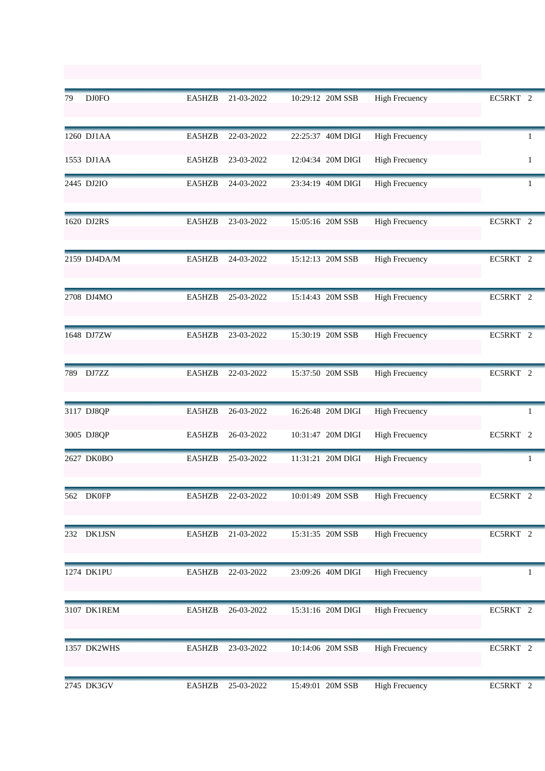| 79  | <b>DJ0FO</b> | EA5HZB | 21-03-2022 | 10:29:12 20M SSB  | <b>High Frecuency</b> | EC5RKT 2            |
|-----|--------------|--------|------------|-------------------|-----------------------|---------------------|
|     | 1260 DJ1AA   | EA5HZB | 22-03-2022 | 22:25:37 40M DIGI | <b>High Frecuency</b> | 1                   |
|     | 1553 DJ1AA   | EA5HZB | 23-03-2022 | 12:04:34 20M DIGI | <b>High Frecuency</b> | 1                   |
|     | 2445 DJ2IO   | EA5HZB | 24-03-2022 | 23:34:19 40M DIGI | <b>High Frecuency</b> | 1                   |
|     | 1620 DJ2RS   | EA5HZB | 23-03-2022 | 15:05:16 20M SSB  | <b>High Frecuency</b> | EC5RKT 2            |
|     | 2159 DJ4DA/M | EA5HZB | 24-03-2022 | 15:12:13 20M SSB  | <b>High Frecuency</b> | EC5RKT 2            |
|     | 2708 DJ4MO   | EA5HZB | 25-03-2022 | 15:14:43 20M SSB  | <b>High Frecuency</b> | EC5RKT 2            |
|     | 1648 DJ7ZW   | EA5HZB | 23-03-2022 | 15:30:19 20M SSB  | <b>High Frecuency</b> | EC5RKT 2            |
| 789 | DJ7ZZ        | EA5HZB | 22-03-2022 | 15:37:50 20M SSB  | <b>High Frecuency</b> | EC5RKT 2            |
|     | 3117 DJ8QP   | EA5HZB | 26-03-2022 | 16:26:48 20M DIGI | <b>High Frecuency</b> | 1                   |
|     | 3005 DJ8QP   | EA5HZB | 26-03-2022 | 10:31:47 20M DIGI | <b>High Frecuency</b> | EC5RKT <sub>2</sub> |
|     | 2627 DK0BO   | EA5HZB | 25-03-2022 | 11:31:21 20M DIGI | <b>High Frecuency</b> | 1                   |
|     | 562 DK0FP    | EA5HZB | 22-03-2022 | 10:01:49 20M SSB  | <b>High Frecuency</b> | EC5RKT 2            |
| 232 | DK1JSN       | EA5HZB | 21-03-2022 | 15:31:35 20M SSB  | <b>High Frecuency</b> | EC5RKT 2            |
|     | 1274 DK1PU   | EA5HZB | 22-03-2022 | 23:09:26 40M DIGI | <b>High Frecuency</b> |                     |
|     | 3107 DK1REM  | EA5HZB | 26-03-2022 | 15:31:16 20M DIGI | <b>High Frecuency</b> | EC5RKT 2            |
|     | 1357 DK2WHS  | EA5HZB | 23-03-2022 | 10:14:06 20M SSB  | <b>High Frecuency</b> | EC5RKT 2            |
|     | 2745 DK3GV   | EA5HZB | 25-03-2022 | 15:49:01 20M SSB  | <b>High Frecuency</b> | EC5RKT 2            |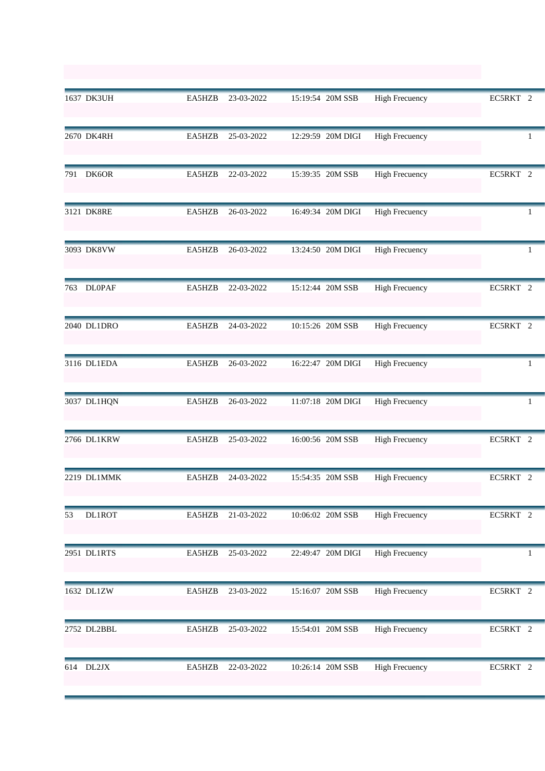|     | 1637 DK3UH    | EA5HZB | 23-03-2022 | 15:19:54 20M SSB  | <b>High Frecuency</b> | EC5RKT 2 |
|-----|---------------|--------|------------|-------------------|-----------------------|----------|
|     | 2670 DK4RH    | EA5HZB | 25-03-2022 | 12:29:59 20M DIGI | <b>High Frecuency</b> |          |
| 791 | DK6OR         | EA5HZB | 22-03-2022 | 15:39:35 20M SSB  | <b>High Frecuency</b> | EC5RKT 2 |
|     | 3121 DK8RE    | EA5HZB | 26-03-2022 | 16:49:34 20M DIGI | <b>High Frecuency</b> | 1        |
|     | 3093 DK8VW    | EA5HZB | 26-03-2022 | 13:24:50 20M DIGI | <b>High Frecuency</b> | 1        |
|     | 763 DL0PAF    | EA5HZB | 22-03-2022 | 15:12:44 20M SSB  | <b>High Frecuency</b> | EC5RKT 2 |
|     | 2040 DL1DRO   | EA5HZB | 24-03-2022 | 10:15:26 20M SSB  | <b>High Frecuency</b> | EC5RKT 2 |
|     | 3116 DL1EDA   | EA5HZB | 26-03-2022 | 16:22:47 20M DIGI | <b>High Frecuency</b> | 1        |
|     | 3037 DL1HQN   | EA5HZB | 26-03-2022 | 11:07:18 20M DIGI | <b>High Frecuency</b> | 1        |
|     | 2766 DL1KRW   | EA5HZB | 25-03-2022 | 16:00:56 20M SSB  | <b>High Frecuency</b> | EC5RKT 2 |
|     | 2219 DL1MMK   | EA5HZB | 24-03-2022 | 15:54:35 20M SSB  | <b>High Frecuency</b> | EC5RKT 2 |
| 53  | <b>DL1ROT</b> | EA5HZB | 21-03-2022 | 10:06:02 20M SSB  | <b>High Frecuency</b> | EC5RKT 2 |
|     | 2951 DL1RTS   | EA5HZB | 25-03-2022 | 22:49:47 20M DIGI | <b>High Frecuency</b> |          |
|     | 1632 DL1ZW    | EA5HZB | 23-03-2022 | 15:16:07 20M SSB  | <b>High Frecuency</b> | EC5RKT 2 |
|     | 2752 DL2BBL   | EA5HZB | 25-03-2022 | 15:54:01 20M SSB  | <b>High Frecuency</b> | EC5RKT 2 |
|     | 614 DL2JX     | EA5HZB | 22-03-2022 | 10:26:14 20M SSB  | <b>High Frecuency</b> | EC5RKT 2 |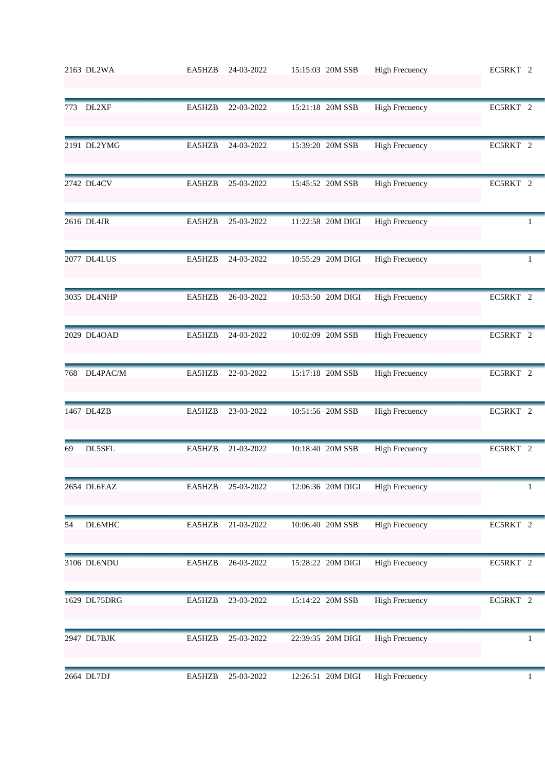|     | 2163 DL2WA   | EA5HZB | 24-03-2022 | 15:15:03 20M SSB  | <b>High Frecuency</b> | EC5RKT 2 |
|-----|--------------|--------|------------|-------------------|-----------------------|----------|
|     | 773 DL2XF    | EA5HZB | 22-03-2022 | 15:21:18 20M SSB  | <b>High Frecuency</b> | EC5RKT 2 |
|     | 2191 DL2YMG  | EA5HZB | 24-03-2022 | 15:39:20 20M SSB  | <b>High Frecuency</b> | EC5RKT 2 |
|     | 2742 DL4CV   | EA5HZB | 25-03-2022 | 15:45:52 20M SSB  | <b>High Frecuency</b> | EC5RKT 2 |
|     | 2616 DL4JR   | EA5HZB | 25-03-2022 | 11:22:58 20M DIGI | <b>High Frecuency</b> | 1        |
|     | 2077 DL4LUS  | EA5HZB | 24-03-2022 | 10:55:29 20M DIGI | <b>High Frecuency</b> | 1        |
|     | 3035 DL4NHP  | EA5HZB | 26-03-2022 | 10:53:50 20M DIGI | <b>High Frecuency</b> | EC5RKT 2 |
|     | 2029 DL4OAD  | EA5HZB | 24-03-2022 | 10:02:09 20M SSB  | <b>High Frecuency</b> | EC5RKT 2 |
| 768 | DL4PAC/M     | EA5HZB | 22-03-2022 | 15:17:18 20M SSB  | <b>High Frecuency</b> | EC5RKT 2 |
|     | 1467 DL4ZB   | EA5HZB | 23-03-2022 | 10:51:56 20M SSB  | <b>High Frecuency</b> | EC5RKT 2 |
| 69  | DL5SFL       | EA5HZB | 21-03-2022 | 10:18:40 20M SSB  | <b>High Frecuency</b> | EC5RKT 2 |
|     | 2654 DL6EAZ  | EA5HZB | 25-03-2022 | 12:06:36 20M DIGI | <b>High Frecuency</b> | 1        |
| 54  | DL6MHC       | EA5HZB | 21-03-2022 | 10:06:40 20M SSB  | <b>High Frecuency</b> | EC5RKT 2 |
|     | 3106 DL6NDU  | EA5HZB | 26-03-2022 | 15:28:22 20M DIGI | <b>High Frecuency</b> | EC5RKT 2 |
|     | 1629 DL75DRG | EA5HZB | 23-03-2022 | 15:14:22 20M SSB  | <b>High Frecuency</b> | EC5RKT 2 |
|     | 2947 DL7BJK  | EA5HZB | 25-03-2022 | 22:39:35 20M DIGI | <b>High Frecuency</b> | 1        |
|     | 2664 DL7DJ   | EA5HZB | 25-03-2022 | 12:26:51 20M DIGI | <b>High Frecuency</b> | 1        |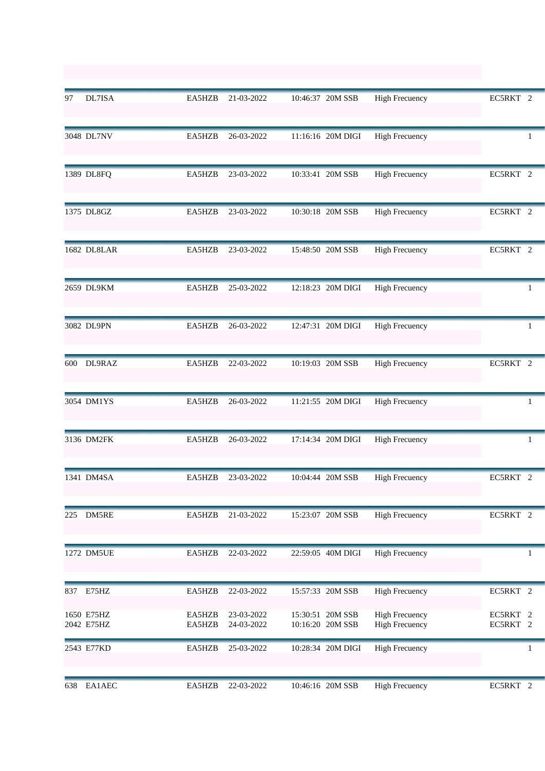| 97  | DL7ISA                   | EA5HZB           | 21-03-2022               | 10:46:37 20M SSB                     | <b>High Frecuency</b>                          | EC5RKT 2             |
|-----|--------------------------|------------------|--------------------------|--------------------------------------|------------------------------------------------|----------------------|
|     | 3048 DL7NV               | EA5HZB           | 26-03-2022               | 11:16:16 20M DIGI                    | <b>High Frecuency</b>                          |                      |
|     | 1389 DL8FQ               | EA5HZB           | 23-03-2022               | 10:33:41 20M SSB                     | <b>High Frecuency</b>                          | EC5RKT 2             |
|     | 1375 DL8GZ               | EA5HZB           | 23-03-2022               | 10:30:18 20M SSB                     | <b>High Frecuency</b>                          | EC5RKT 2             |
|     | 1682 DL8LAR              | EA5HZB           | 23-03-2022               | 15:48:50 20M SSB                     | <b>High Frecuency</b>                          | EC5RKT 2             |
|     | 2659 DL9KM               | EA5HZB           | 25-03-2022               | 12:18:23 20M DIGI                    | <b>High Frecuency</b>                          | 1                    |
|     | 3082 DL9PN               | EA5HZB           | 26-03-2022               | 12:47:31 20M DIGI                    | <b>High Frecuency</b>                          | -1                   |
| 600 | DL9RAZ                   | EA5HZB           | 22-03-2022               | 10:19:03 20M SSB                     | <b>High Frecuency</b>                          | EC5RKT 2             |
|     | 3054 DM1YS               | EA5HZB           | 26-03-2022               | 11:21:55 20M DIGI                    | <b>High Frecuency</b>                          | 1                    |
|     | 3136 DM2FK               | EA5HZB           | 26-03-2022               | 17:14:34 20M DIGI                    | <b>High Frecuency</b>                          | 1                    |
|     | 1341 DM4SA               | EA5HZB           | 23-03-2022               | 10:04:44 20M SSB                     | <b>High Frecuency</b>                          | EC5RKT 2             |
| 225 | DM5RE                    | EA5HZB           | 21-03-2022               | 15:23:07 20M SSB                     | <b>High Frecuency</b>                          | EC5RKT 2             |
|     | 1272 DM5UE               | EA5HZB           | 22-03-2022               | 22:59:05 40M DIGI                    | <b>High Frecuency</b>                          |                      |
| 837 | E75HZ                    | EA5HZB           | 22-03-2022               | 15:57:33 20M SSB                     | <b>High Frecuency</b>                          | EC5RKT 2             |
|     | 1650 E75HZ<br>2042 E75HZ | EA5HZB<br>EA5HZB | 23-03-2022<br>24-03-2022 | 15:30:51 20M SSB<br>10:16:20 20M SSB | <b>High Frecuency</b><br><b>High Frecuency</b> | EC5RKT 2<br>EC5RKT 2 |
|     | 2543 E77KD               | EA5HZB           | 25-03-2022               | 10:28:34 20M DIGI                    | <b>High Frecuency</b>                          | 1                    |
| 638 | EA1AEC                   | EA5HZB           | 22-03-2022               | 10:46:16 20M SSB                     | <b>High Frecuency</b>                          | EC5RKT 2             |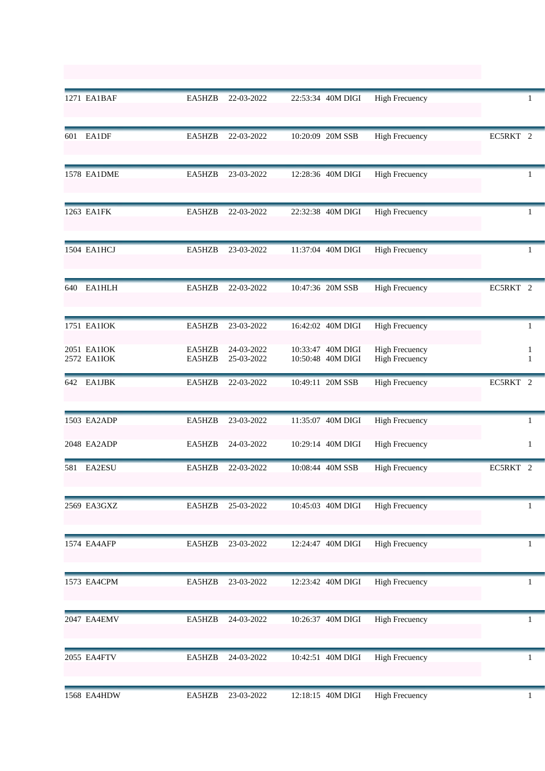|     | 1271 EA1BAF                | EA5HZB           | 22-03-2022               | 22:53:34 40M DIGI                      | <b>High Frecuency</b>                          |               |
|-----|----------------------------|------------------|--------------------------|----------------------------------------|------------------------------------------------|---------------|
| 601 | EA1DF                      | EA5HZB           | 22-03-2022               | 10:20:09 20M SSB                       | <b>High Frecuency</b>                          | EC5RKT 2      |
|     | <b>1578 EA1DME</b>         | EA5HZB           | 23-03-2022               | 12:28:36 40M DIGI                      | <b>High Frecuency</b>                          |               |
|     | 1263 EA1FK                 | EA5HZB           | 22-03-2022               | 22:32:38 40M DIGI                      | <b>High Frecuency</b>                          | 1             |
|     | 1504 EA1HCJ                | EA5HZB           | 23-03-2022               | 11:37:04 40M DIGI                      | <b>High Frecuency</b>                          | 1             |
| 640 | <b>EA1HLH</b>              | EA5HZB           | 22-03-2022               | 10:47:36 20M SSB                       | <b>High Frecuency</b>                          | EC5RKT 2      |
|     | 1751 EA1IOK                | EA5HZB           | 23-03-2022               | 16:42:02 40M DIGI                      | <b>High Frecuency</b>                          | -1            |
|     | 2051 EA1IOK<br>2572 EA1IOK | EA5HZB<br>EA5HZB | 24-03-2022<br>25-03-2022 | 10:33:47 40M DIGI<br>10:50:48 40M DIGI | <b>High Frecuency</b><br><b>High Frecuency</b> | 1<br>1        |
| 642 | <b>EA1JBK</b>              | EA5HZB           | 22-03-2022               | 10:49:11 20M SSB                       | <b>High Frecuency</b>                          | EC5RKT 2      |
|     | 1503 EA2ADP                | EA5HZB           | 23-03-2022               | 11:35:07 40M DIGI                      | <b>High Frecuency</b>                          | 1             |
|     | 2048 EA2ADP                | EA5HZB           | 24-03-2022               | 10:29:14 40M DIGI                      | <b>High Frecuency</b>                          | 1             |
| 581 | <b>EA2ESU</b>              | EA5HZB           | 22-03-2022               | 10:08:44 40M SSB                       | <b>High Frecuency</b>                          | EC5RKT<br>- 2 |
|     | 2569 EA3GXZ                | EA5HZB           | 25-03-2022               | 10:45:03 40M DIGI                      | <b>High Frecuency</b>                          | 1             |
|     | 1574 EA4AFP                | EA5HZB           | 23-03-2022               | 12:24:47 40M DIGI                      | <b>High Frecuency</b>                          | 1             |
|     | 1573 EA4CPM                | EA5HZB           | 23-03-2022               | 12:23:42 40M DIGI                      | <b>High Frecuency</b>                          | 1             |
|     | 2047 EA4EMV                | EA5HZB           | 24-03-2022               | 10:26:37 40M DIGI                      | <b>High Frecuency</b>                          | 1             |
|     | 2055 EA4FTV                | EA5HZB           | 24-03-2022               | 10:42:51 40M DIGI                      | <b>High Frecuency</b>                          | 1             |
|     | 1568 EA4HDW                | EA5HZB           | 23-03-2022               | 12:18:15 40M DIGI                      | <b>High Frecuency</b>                          | $\mathbf{1}$  |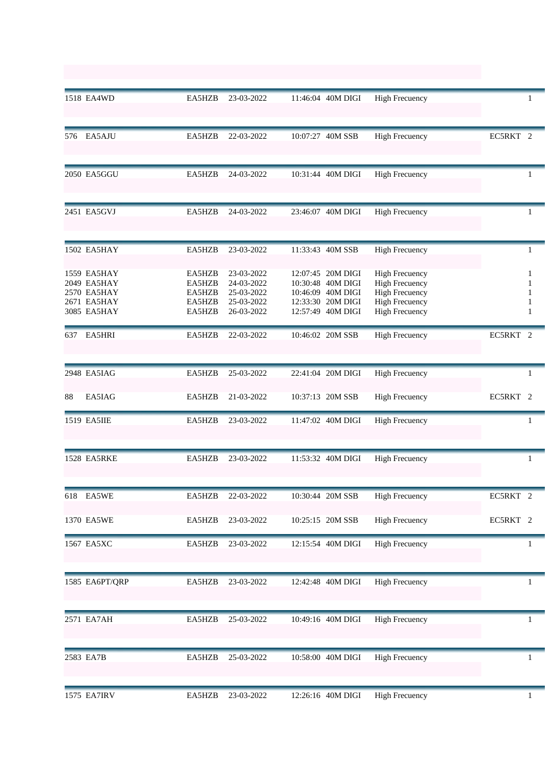|     | 1518 EA4WD                                                              | EA5HZB                                         | 23-03-2022                                                         | 11:46:04 40M DIGI                                                                                     | <b>High Frecuency</b>                                                                                                     |                       |
|-----|-------------------------------------------------------------------------|------------------------------------------------|--------------------------------------------------------------------|-------------------------------------------------------------------------------------------------------|---------------------------------------------------------------------------------------------------------------------------|-----------------------|
| 576 | EA5AJU                                                                  | EA5HZB                                         | 22-03-2022                                                         | 10:07:27 40M SSB                                                                                      | <b>High Frecuency</b>                                                                                                     | EC5RKT 2              |
|     | 2050 EA5GGU                                                             | EA5HZB                                         | 24-03-2022                                                         | 10:31:44 40M DIGI                                                                                     | <b>High Frecuency</b>                                                                                                     | T.                    |
|     | 2451 EA5GVJ                                                             | EA5HZB                                         | 24-03-2022                                                         | 23:46:07 40M DIGI                                                                                     | <b>High Frecuency</b>                                                                                                     | -1                    |
|     | 1502 EA5HAY                                                             | EA5HZB                                         | 23-03-2022                                                         | 11:33:43 40M SSB                                                                                      | <b>High Frecuency</b>                                                                                                     | 1                     |
|     | 1559 EA5HAY<br>2049 EA5HAY<br>2570 EA5HAY<br>2671 EA5HAY<br>3085 EA5HAY | EA5HZB<br>EA5HZB<br>EA5HZB<br>EA5HZB<br>EA5HZB | 23-03-2022<br>24-03-2022<br>25-03-2022<br>25-03-2022<br>26-03-2022 | 12:07:45 20M DIGI<br>10:30:48 40M DIGI<br>10:46:09 40M DIGI<br>12:33:30 20M DIGI<br>12:57:49 40M DIGI | <b>High Frecuency</b><br><b>High Frecuency</b><br><b>High Frecuency</b><br><b>High Frecuency</b><br><b>High Frecuency</b> | 1<br>1<br>1<br>1<br>1 |
| 637 | EA5HRI                                                                  | EA5HZB                                         | 22-03-2022                                                         | 10:46:02 20M SSB                                                                                      | <b>High Frecuency</b>                                                                                                     | EC5RKT 2              |
|     | 2948 EA5IAG                                                             | EA5HZB                                         | 25-03-2022                                                         | 22:41:04 20M DIGI                                                                                     | <b>High Frecuency</b>                                                                                                     | 1                     |
| 88  | EA5IAG                                                                  | EA5HZB                                         | 21-03-2022                                                         | 10:37:13 20M SSB                                                                                      | <b>High Frecuency</b>                                                                                                     | EC5RKT 2              |
|     | 1519 EA5IIE                                                             | EA5HZB                                         | 23-03-2022                                                         | 11:47:02 40M DIGI                                                                                     | <b>High Frecuency</b>                                                                                                     | 1                     |
|     | 1528 EA5RKE                                                             | EA5HZB                                         | 23-03-2022                                                         | 11:53:32 40M DIGI                                                                                     | <b>High Frecuency</b>                                                                                                     | 1                     |
|     | 618 EA5WE                                                               | EA5HZB                                         | 22-03-2022                                                         | 10:30:44 20M SSB                                                                                      | <b>High Frecuency</b>                                                                                                     | EC5RKT 2              |
|     | 1370 EA5WE                                                              | EA5HZB                                         | 23-03-2022                                                         | 10:25:15 20M SSB                                                                                      | <b>High Frecuency</b>                                                                                                     | EC5RKT 2              |
|     | 1567 EA5XC                                                              | EA5HZB                                         | 23-03-2022                                                         | 12:15:54 40M DIGI                                                                                     | <b>High Frecuency</b>                                                                                                     | 1                     |
|     | 1585 EA6PT/QRP                                                          | EA5HZB                                         | 23-03-2022                                                         | 12:42:48 40M DIGI                                                                                     | <b>High Frecuency</b>                                                                                                     | 1                     |
|     | 2571 EA7AH                                                              | EA5HZB                                         | 25-03-2022                                                         | 10:49:16 40M DIGI                                                                                     | <b>High Frecuency</b>                                                                                                     | 1                     |
|     | 2583 EA7B                                                               | EA5HZB                                         | 25-03-2022                                                         | 10:58:00 40M DIGI                                                                                     | <b>High Frecuency</b>                                                                                                     | 1                     |
|     | 1575 EA7IRV                                                             | EA5HZB                                         | 23-03-2022                                                         | 12:26:16 40M DIGI                                                                                     | <b>High Frecuency</b>                                                                                                     | 1                     |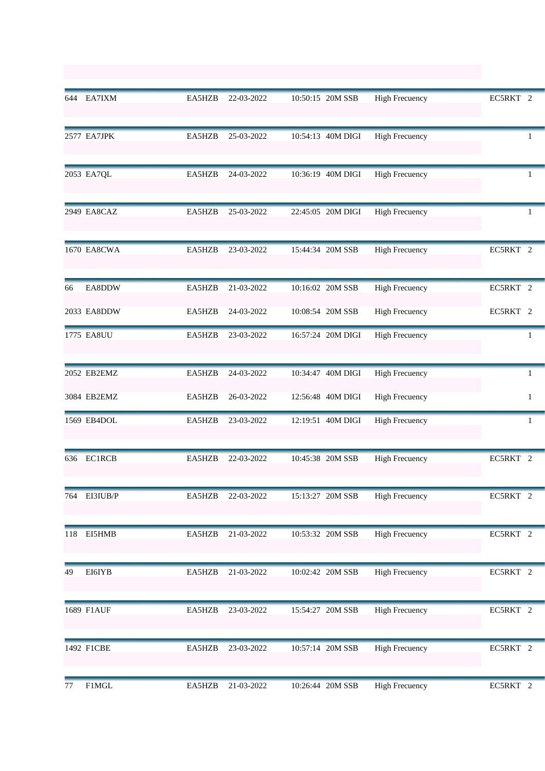|     | 644 EA7IXM    | EA5HZB | 22-03-2022 | 10:50:15 20M SSB  | <b>High Frecuency</b> | EC5RKT 2     |
|-----|---------------|--------|------------|-------------------|-----------------------|--------------|
|     | 2577 EA7JPK   | EA5HZB | 25-03-2022 | 10:54:13 40M DIGI | <b>High Frecuency</b> | 1            |
|     | 2053 EA7QL    | EA5HZB | 24-03-2022 | 10:36:19 40M DIGI | <b>High Frecuency</b> | Ŧ.           |
|     | 2949 EA8CAZ   | EA5HZB | 25-03-2022 | 22:45:05 20M DIGI | <b>High Frecuency</b> | 1            |
|     | 1670 EA8CWA   | EA5HZB | 23-03-2022 | 15:44:34 20M SSB  | <b>High Frecuency</b> | EC5RKT 2     |
| 66  | EA8DDW        | EA5HZB | 21-03-2022 | 10:16:02 20M SSB  | <b>High Frecuency</b> | EC5RKT 2     |
|     | 2033 EA8DDW   | EA5HZB | 24-03-2022 | 10:08:54 20M SSB  | <b>High Frecuency</b> | EC5RKT 2     |
|     | 1775 EA8UU    | EA5HZB | 23-03-2022 | 16:57:24 20M DIGI | <b>High Frecuency</b> | 1            |
|     | 2052 EB2EMZ   | EA5HZB | 24-03-2022 | 10:34:47 40M DIGI | <b>High Frecuency</b> | 1            |
|     | 3084 EB2EMZ   | EA5HZB | 26-03-2022 | 12:56:48 40M DIGI | <b>High Frecuency</b> | $\mathbf{1}$ |
|     | 1569 EB4DOL   | EA5HZB | 23-03-2022 | 12:19:51 40M DIGI | <b>High Frecuency</b> | 1            |
| 636 | <b>EC1RCB</b> | EA5HZB | 22-03-2022 | 10:45:38 20M SSB  | <b>High Frecuency</b> | EC5RKT 2     |
|     | 764 EI3IUB/P  | EA5HZB | 22-03-2022 | 15:13:27 20M SSB  | <b>High Frecuency</b> | EC5RKT 2     |
| 118 | EI5HMB        | EA5HZB | 21-03-2022 | 10:53:32 20M SSB  | <b>High Frecuency</b> | EC5RKT 2     |
| 49  | EI6IYB        | EA5HZB | 21-03-2022 | 10:02:42 20M SSB  | <b>High Frecuency</b> | EC5RKT 2     |
|     | 1689 F1AUF    | EA5HZB | 23-03-2022 | 15:54:27 20M SSB  | <b>High Frecuency</b> | EC5RKT 2     |
|     | 1492 F1CBE    | EA5HZB | 23-03-2022 | 10:57:14 20M SSB  | <b>High Frecuency</b> | EC5RKT 2     |
| 77  | F1MGL         | EA5HZB | 21-03-2022 | 10:26:44 20M SSB  | <b>High Frecuency</b> | EC5RKT 2     |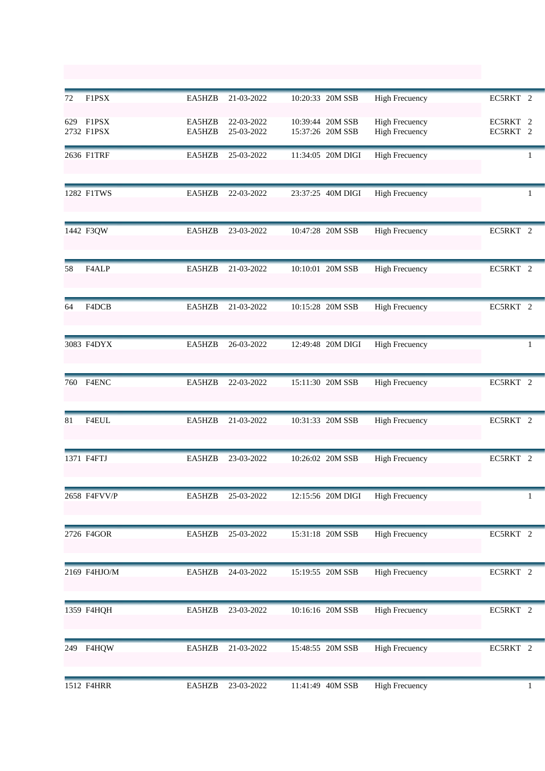| 72  | F1PSX                   | EA5HZB           | 21-03-2022               | 10:20:33 20M SSB                     | <b>High Frecuency</b>                          | EC5RKT 2             |
|-----|-------------------------|------------------|--------------------------|--------------------------------------|------------------------------------------------|----------------------|
|     | 629 F1PSX<br>2732 F1PSX | EA5HZB<br>EA5HZB | 22-03-2022<br>25-03-2022 | 10:39:44 20M SSB<br>15:37:26 20M SSB | <b>High Frecuency</b><br><b>High Frecuency</b> | EC5RKT 2<br>EC5RKT 2 |
|     | 2636 F1TRF              | EA5HZB           | 25-03-2022               | 11:34:05 20M DIGI                    | <b>High Frecuency</b>                          | 1                    |
|     | 1282 F1TWS              | EA5HZB           | 22-03-2022               | 23:37:25 40M DIGI                    | <b>High Frecuency</b>                          | 1                    |
|     | 1442 F3QW               | EA5HZB           | 23-03-2022               | 10:47:28 20M SSB                     | <b>High Frecuency</b>                          | EC5RKT 2             |
| 58  | F4ALP                   | EA5HZB           | 21-03-2022               | 10:10:01 20M SSB                     | <b>High Frecuency</b>                          | EC5RKT 2             |
| 64  | F4DCB                   | EA5HZB           | 21-03-2022               | 10:15:28 20M SSB                     | <b>High Frecuency</b>                          | EC5RKT 2             |
|     | 3083 F4DYX              | EA5HZB           | 26-03-2022               | 12:49:48 20M DIGI                    | <b>High Frecuency</b>                          | 1                    |
| 760 | F4ENC                   | EA5HZB           | 22-03-2022               | 15:11:30 20M SSB                     | <b>High Frecuency</b>                          | EC5RKT 2             |
| 81  | F4EUL                   | EA5HZB           | 21-03-2022               | 10:31:33 20M SSB                     | <b>High Frecuency</b>                          | EC5RKT 2             |
|     | 1371 F4FTJ              | EA5HZB           | 23-03-2022               | 10:26:02 20M SSB                     | <b>High Frecuency</b>                          | EC5RKT 2             |
|     | 2658 F4FVV/P            | EA5HZB           | 25-03-2022               | 12:15:56 20M DIGI                    | <b>High Frecuency</b>                          | 1                    |
|     | 2726 F4GOR              | EA5HZB           | 25-03-2022               | 15:31:18 20M SSB                     | <b>High Frecuency</b>                          | EC5RKT 2             |
|     | 2169 F4HJO/M            | EA5HZB           | 24-03-2022               | 15:19:55 20M SSB                     | <b>High Frecuency</b>                          | EC5RKT 2             |
|     | 1359 F4HQH              | EA5HZB           | 23-03-2022               | 10:16:16 20M SSB                     | <b>High Frecuency</b>                          | EC5RKT 2             |
| 249 | F4HQW                   | EA5HZB           | 21-03-2022               | 15:48:55 20M SSB                     | <b>High Frecuency</b>                          | EC5RKT 2             |
|     | 1512 F4HRR              | EA5HZB           | 23-03-2022               | 11:41:49 40M SSB                     | <b>High Frecuency</b>                          | 1                    |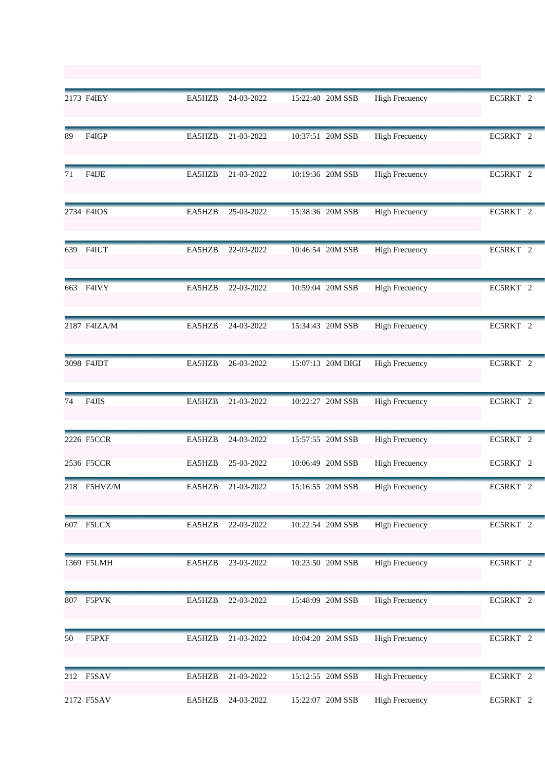|    | 2173 F4IEY   | EA5HZB | 24-03-2022 | 15:22:40 20M SSB  | <b>High Frecuency</b> | EC5RKT 2            |
|----|--------------|--------|------------|-------------------|-----------------------|---------------------|
| 89 | F4IGP        | EA5HZB | 21-03-2022 | 10:37:51 20M SSB  | <b>High Frecuency</b> | EC5RKT 2            |
| 71 | F4IJE        | EA5HZB | 21-03-2022 | 10:19:36 20M SSB  | <b>High Frecuency</b> | EC5RKT 2            |
|    | 2734 F4IOS   | EA5HZB | 25-03-2022 | 15:38:36 20M SSB  | <b>High Frecuency</b> | EC5RKT 2            |
|    | 639 F4IUT    | EA5HZB | 22-03-2022 | 10:46:54 20M SSB  | <b>High Frecuency</b> | EC5RKT 2            |
|    | 663 F4IVY    | EA5HZB | 22-03-2022 | 10:59:04 20M SSB  | <b>High Frecuency</b> | EC5RKT 2            |
|    | 2187 F4IZA/M | EA5HZB | 24-03-2022 | 15:34:43 20M SSB  | <b>High Frecuency</b> | EC5RKT 2            |
|    | 3098 F4JDT   | EA5HZB | 26-03-2022 | 15:07:13 20M DIGI | <b>High Frecuency</b> | EC5RKT 2            |
| 74 | F4JIS        | EA5HZB | 21-03-2022 | 10:22:27 20M SSB  | <b>High Frecuency</b> | EC5RKT 2            |
|    | 2226 F5CCR   | EA5HZB | 24-03-2022 | 15:57:55 20M SSB  | <b>High Frecuency</b> | EC5RKT 2            |
|    | 2536 F5CCR   | EA5HZB | 25-03-2022 | 10:06:49 20M SSB  | <b>High Frecuency</b> | EC5RKT 2            |
|    | 218 F5HVZ/M  | EA5HZB | 21-03-2022 | 15:16:55 20M SSB  | <b>High Frecuency</b> | EC5RKT <sub>2</sub> |
|    | 607 F5LCX    | EA5HZB | 22-03-2022 | 10:22:54 20M SSB  | <b>High Frecuency</b> | EC5RKT 2            |
|    | 1369 F5LMH   | EA5HZB | 23-03-2022 | 10:23:50 20M SSB  | <b>High Frecuency</b> | EC5RKT 2            |
|    | 807 F5PVK    | EA5HZB | 22-03-2022 | 15:48:09 20M SSB  | <b>High Frecuency</b> | EC5RKT 2            |
| 50 | F5PXF        | EA5HZB | 21-03-2022 | 10:04:20 20M SSB  | <b>High Frecuency</b> | EC5RKT 2            |
|    | 212 F5SAV    | EA5HZB | 21-03-2022 | 15:12:55 20M SSB  | <b>High Frecuency</b> | EC5RKT 2            |
|    | 2172 F5SAV   | EA5HZB | 24-03-2022 | 15:22:07 20M SSB  | <b>High Frecuency</b> | EC5RKT 2            |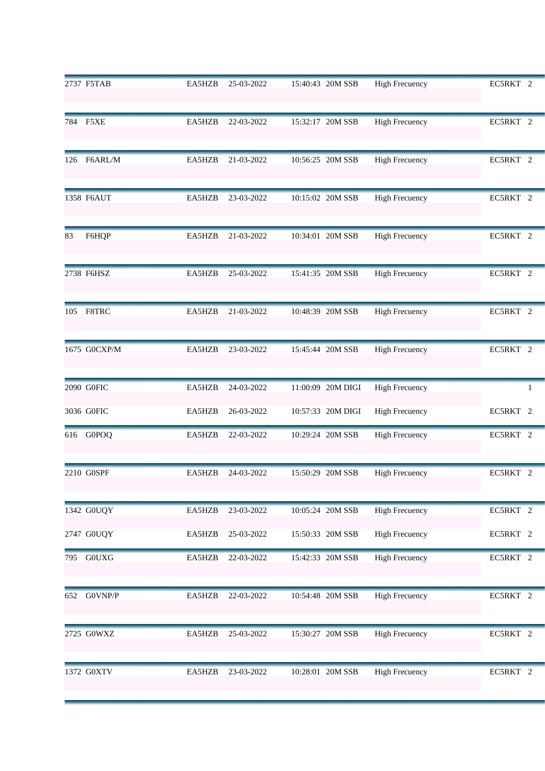|     | 2737 F5TAB   | EA5HZB | 25-03-2022 | 15:40:43 20M SSB  | <b>High Frecuency</b> | EC5RKT 2 |
|-----|--------------|--------|------------|-------------------|-----------------------|----------|
|     | 784 F5XE     | EA5HZB | 22-03-2022 | 15:32:17 20M SSB  | <b>High Frecuency</b> | EC5RKT 2 |
| 126 | F6ARL/M      | EA5HZB | 21-03-2022 | 10:56:25 20M SSB  | <b>High Frecuency</b> | EC5RKT 2 |
|     | 1358 F6AUT   | EA5HZB | 23-03-2022 | 10:15:02 20M SSB  | <b>High Frecuency</b> | EC5RKT 2 |
| 83  | F6HQP        | EA5HZB | 21-03-2022 | 10:34:01 20M SSB  | <b>High Frecuency</b> | EC5RKT 2 |
|     | 2738 F6HSZ   | EA5HZB | 25-03-2022 | 15:41:35 20M SSB  | <b>High Frecuency</b> | EC5RKT 2 |
|     | 105 F8TRC    | EA5HZB | 21-03-2022 | 10:48:39 20M SSB  | <b>High Frecuency</b> | EC5RKT 2 |
|     | 1675 G0CXP/M | EA5HZB | 23-03-2022 | 15:45:44 20M SSB  | <b>High Frecuency</b> | EC5RKT 2 |
|     | 2090 G0FIC   | EA5HZB | 24-03-2022 | 11:00:09 20M DIGI | <b>High Frecuency</b> | 1        |
|     | 3036 G0FIC   | EA5HZB | 26-03-2022 | 10:57:33 20M DIGI | <b>High Frecuency</b> | EC5RKT 2 |
|     | 616 G0POQ    | EA5HZB | 22-03-2022 | 10:29:24 20M SSB  | <b>High Frecuency</b> | EC5RKT 2 |
|     | 2210 G0SPF   | EA5HZB | 24-03-2022 | 15:50:29 20M SSB  | <b>High Frecuency</b> | EC5RKT 2 |
|     | 1342 GOUQY   | EA5HZB | 23-03-2022 | 10:05:24 20M SSB  | <b>High Frecuency</b> | EC5RKT 2 |
|     | 2747 G0UQY   | EA5HZB | 25-03-2022 | 15:50:33 20M SSB  | <b>High Frecuency</b> | EC5RKT 2 |
| 795 | G0UXG        | EA5HZB | 22-03-2022 | 15:42:33 20M SSB  | <b>High Frecuency</b> | EC5RKT 2 |
| 652 | G0VNP/P      | EA5HZB | 22-03-2022 | 10:54:48 20M SSB  | <b>High Frecuency</b> | EC5RKT 2 |
|     | 2725 G0WXZ   | EA5HZB | 25-03-2022 | 15:30:27 20M SSB  | <b>High Frecuency</b> | EC5RKT 2 |
|     | 1372 G0XTV   | EA5HZB | 23-03-2022 | 10:28:01 20M SSB  | <b>High Frecuency</b> | EC5RKT 2 |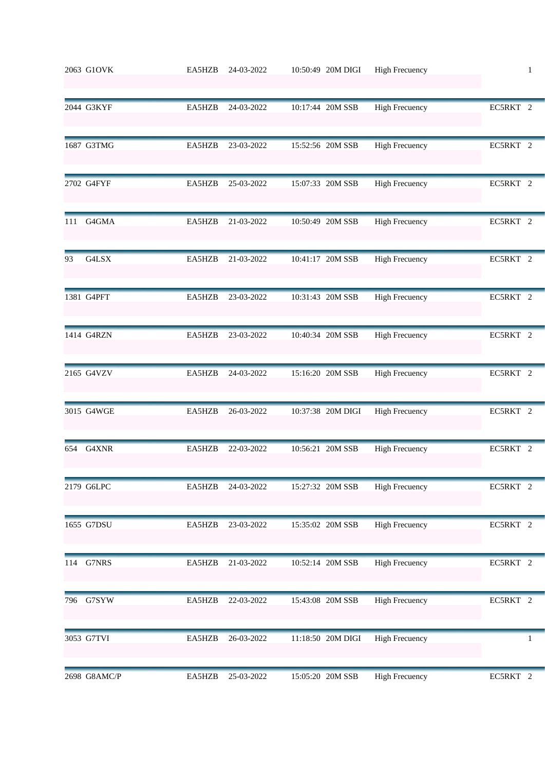|     | 2063 G1OVK   | EA5HZB | 24-03-2022 | 10:50:49 20M DIGI | <b>High Frecuency</b> | $\mathbf{1}$ |
|-----|--------------|--------|------------|-------------------|-----------------------|--------------|
|     | 2044 G3KYF   | EA5HZB | 24-03-2022 | 10:17:44 20M SSB  | <b>High Frecuency</b> | EC5RKT 2     |
|     | 1687 G3TMG   | EA5HZB | 23-03-2022 | 15:52:56 20M SSB  | <b>High Frecuency</b> | EC5RKT 2     |
|     | 2702 G4FYF   | EA5HZB | 25-03-2022 | 15:07:33 20M SSB  | <b>High Frecuency</b> | EC5RKT 2     |
| 111 | G4GMA        | EA5HZB | 21-03-2022 | 10:50:49 20M SSB  | <b>High Frecuency</b> | EC5RKT 2     |
| 93  | G4LSX        | EA5HZB | 21-03-2022 | 10:41:17 20M SSB  | <b>High Frecuency</b> | EC5RKT 2     |
|     | 1381 G4PFT   | EA5HZB | 23-03-2022 | 10:31:43 20M SSB  | <b>High Frecuency</b> | EC5RKT 2     |
|     | 1414 G4RZN   | EA5HZB | 23-03-2022 | 10:40:34 20M SSB  | <b>High Frecuency</b> | EC5RKT 2     |
|     | 2165 G4VZV   | EA5HZB | 24-03-2022 | 15:16:20 20M SSB  | <b>High Frecuency</b> | EC5RKT 2     |
|     | 3015 G4WGE   | EA5HZB | 26-03-2022 | 10:37:38 20M DIGI | <b>High Frecuency</b> | EC5RKT 2     |
| 654 | G4XNR        | EA5HZB | 22-03-2022 | 10:56:21 20M SSB  | <b>High Frecuency</b> | EC5RKT 2     |
|     | 2179 G6LPC   | EA5HZB | 24-03-2022 | 15:27:32 20M SSB  | <b>High Frecuency</b> | EC5RKT 2     |
|     | 1655 G7DSU   | EA5HZB | 23-03-2022 | 15:35:02 20M SSB  | <b>High Frecuency</b> | EC5RKT 2     |
|     | 114 G7NRS    | EA5HZB | 21-03-2022 | 10:52:14 20M SSB  | <b>High Frecuency</b> | EC5RKT 2     |
| 796 | G7SYW        | EA5HZB | 22-03-2022 | 15:43:08 20M SSB  | <b>High Frecuency</b> | EC5RKT 2     |
|     | 3053 G7TVI   | EA5HZB | 26-03-2022 | 11:18:50 20M DIGI | <b>High Frecuency</b> | 1            |
|     | 2698 G8AMC/P | EA5HZB | 25-03-2022 | 15:05:20 20M SSB  | <b>High Frecuency</b> | EC5RKT 2     |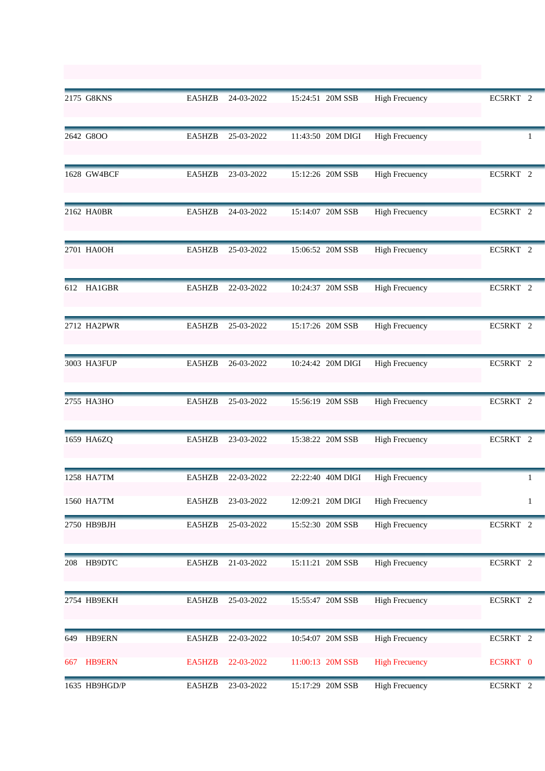|     | 2175 G8KNS    | EA5HZB | 24-03-2022 | 15:24:51 20M SSB  | <b>High Frecuency</b> | EC5RKT 2     |
|-----|---------------|--------|------------|-------------------|-----------------------|--------------|
|     | 2642 G8OO     | EA5HZB | 25-03-2022 | 11:43:50 20M DIGI | <b>High Frecuency</b> | 1            |
|     | 1628 GW4BCF   | EA5HZB | 23-03-2022 | 15:12:26 20M SSB  | <b>High Frecuency</b> | EC5RKT 2     |
|     | 2162 HA0BR    | EA5HZB | 24-03-2022 | 15:14:07 20M SSB  | <b>High Frecuency</b> | EC5RKT 2     |
|     | 2701 HA0OH    | EA5HZB | 25-03-2022 | 15:06:52 20M SSB  | <b>High Frecuency</b> | EC5RKT 2     |
| 612 | HA1GBR        | EA5HZB | 22-03-2022 | 10:24:37 20M SSB  | <b>High Frecuency</b> | EC5RKT 2     |
|     | 2712 HA2PWR   | EA5HZB | 25-03-2022 | 15:17:26 20M SSB  | <b>High Frecuency</b> | EC5RKT 2     |
|     | 3003 HA3FUP   | EA5HZB | 26-03-2022 | 10:24:42 20M DIGI | <b>High Frecuency</b> | EC5RKT 2     |
|     | 2755 HA3HO    | EA5HZB | 25-03-2022 | 15:56:19 20M SSB  | <b>High Frecuency</b> | EC5RKT 2     |
|     | 1659 HA6ZQ    | EA5HZB | 23-03-2022 | 15:38:22 20M SSB  | <b>High Frecuency</b> | EC5RKT 2     |
|     | 1258 HA7TM    | EA5HZB | 22-03-2022 | 22:22:40 40M DIGI | <b>High Frecuency</b> |              |
|     | 1560 HA7TM    | EA5HZB | 23-03-2022 | 12:09:21 20M DIGI | <b>High Frecuency</b> | $\mathbf{1}$ |
|     | 2750 HB9BJH   | EA5HZB | 25-03-2022 | 15:52:30 20M SSB  | <b>High Frecuency</b> | EC5RKT 2     |
| 208 | HB9DTC        | EA5HZB | 21-03-2022 | 15:11:21 20M SSB  | <b>High Frecuency</b> | EC5RKT 2     |
|     | 2754 НВ9ЕКН   | EA5HZB | 25-03-2022 | 15:55:47 20M SSB  | <b>High Frecuency</b> | EC5RKT 2     |
| 649 | HB9ERN        | EA5HZB | 22-03-2022 | 10:54:07 20M SSB  | <b>High Frecuency</b> | EC5RKT 2     |
| 667 | <b>HB9ERN</b> | EA5HZB | 22-03-2022 | 11:00:13 20M SSB  | <b>High Frecuency</b> | EC5RKT 0     |
|     | 1635 HB9HGD/P | EA5HZB | 23-03-2022 | 15:17:29 20M SSB  | <b>High Frecuency</b> | EC5RKT 2     |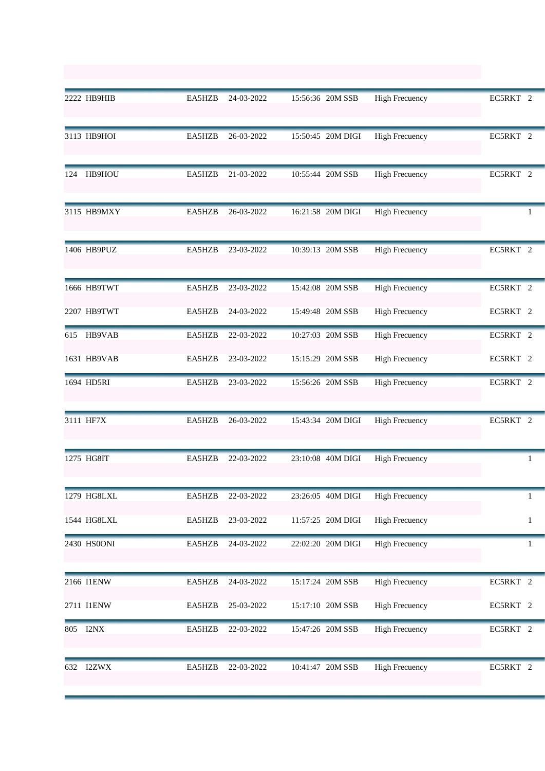|     | 2222 HB9HIB   | EA5HZB | 24-03-2022 | 15:56:36 20M SSB  | <b>High Frecuency</b> | EC5RKT 2     |
|-----|---------------|--------|------------|-------------------|-----------------------|--------------|
|     | 3113 HB9HOI   | EA5HZB | 26-03-2022 | 15:50:45 20M DIGI | <b>High Frecuency</b> | EC5RKT 2     |
| 124 | HB9HOU        | EA5HZB | 21-03-2022 | 10:55:44 20M SSB  | <b>High Frecuency</b> | EC5RKT 2     |
|     | 3115 HB9MXY   | EA5HZB | 26-03-2022 | 16:21:58 20M DIGI | <b>High Frecuency</b> | 1            |
|     | 1406 HB9PUZ   | EA5HZB | 23-03-2022 | 10:39:13 20M SSB  | <b>High Frecuency</b> | EC5RKT 2     |
|     | 1666 HB9TWT   | EA5HZB | 23-03-2022 | 15:42:08 20M SSB  | <b>High Frecuency</b> | EC5RKT 2     |
|     | 2207 HB9TWT   | EA5HZB | 24-03-2022 | 15:49:48 20M SSB  | <b>High Frecuency</b> | EC5RKT 2     |
| 615 | <b>HB9VAB</b> | EA5HZB | 22-03-2022 | 10:27:03 20M SSB  | <b>High Frecuency</b> | EC5RKT 2     |
|     | 1631 HB9VAB   | EA5HZB | 23-03-2022 | 15:15:29 20M SSB  | <b>High Frecuency</b> | EC5RKT 2     |
|     | 1694 HD5RI    | EA5HZB | 23-03-2022 | 15:56:26 20M SSB  | <b>High Frecuency</b> | EC5RKT 2     |
|     | 3111 HF7X     | EA5HZB | 26-03-2022 | 15:43:34 20M DIGI | <b>High Frecuency</b> | EC5RKT 2     |
|     | 1275 HG8IT    | EA5HZB | 22-03-2022 | 23:10:08 40M DIGI | <b>High Frecuency</b> |              |
|     | 1279 HG8LXL   | EA5HZB | 22-03-2022 | 23:26:05 40M DIGI | <b>High Frecuency</b> | 1            |
|     | 1544 HG8LXL   | EA5HZB | 23-03-2022 | 11:57:25 20M DIGI | <b>High Frecuency</b> | $\mathbf{1}$ |
|     | 2430 HS0ONI   | EA5HZB | 24-03-2022 | 22:02:20 20M DIGI | <b>High Frecuency</b> | 1            |
|     | 2166 I1ENW    | EA5HZB | 24-03-2022 | 15:17:24 20M SSB  | <b>High Frecuency</b> | EC5RKT 2     |
|     | 2711 I1ENW    | EA5HZB | 25-03-2022 | 15:17:10 20M SSB  | <b>High Frecuency</b> | EC5RKT 2     |
| 805 | I2NX          | EA5HZB | 22-03-2022 | 15:47:26 20M SSB  | <b>High Frecuency</b> | EC5RKT 2     |
| 632 | I2ZWX         | EA5HZB | 22-03-2022 | 10:41:47 20M SSB  | <b>High Frecuency</b> | EC5RKT 2     |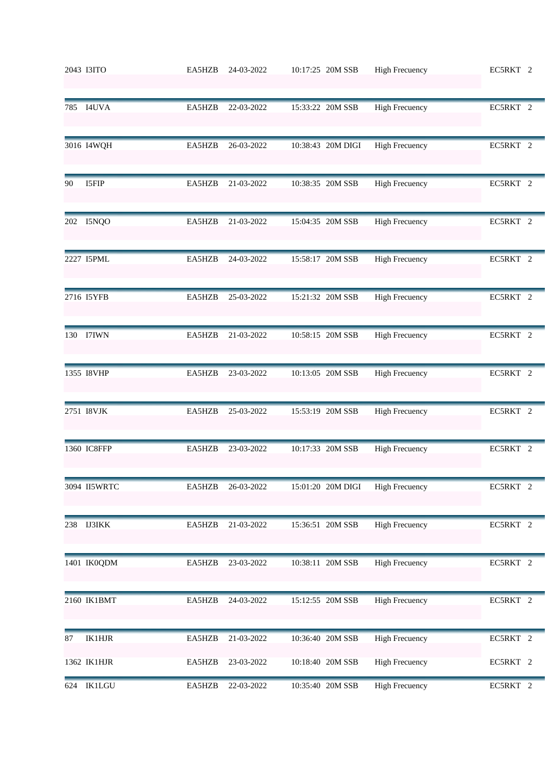|     | 2043 I3ITO    | EA5HZB | 24-03-2022 | 10:17:25 20M SSB  | <b>High Frecuency</b> | EC5RKT 2 |
|-----|---------------|--------|------------|-------------------|-----------------------|----------|
|     | 785 I4UVA     | EA5HZB | 22-03-2022 | 15:33:22 20M SSB  | <b>High Frecuency</b> | EC5RKT 2 |
|     | 3016 I4WQH    | EA5HZB | 26-03-2022 | 10:38:43 20M DIGI | <b>High Frecuency</b> | EC5RKT 2 |
| 90  | I5FIP         | EA5HZB | 21-03-2022 | 10:38:35 20M SSB  | <b>High Frecuency</b> | EC5RKT 2 |
| 202 | I5NQO         | EA5HZB | 21-03-2022 | 15:04:35 20M SSB  | <b>High Frecuency</b> | EC5RKT 2 |
|     | 2227 I5PML    | EA5HZB | 24-03-2022 | 15:58:17 20M SSB  | <b>High Frecuency</b> | EC5RKT 2 |
|     | 2716 I5YFB    | EA5HZB | 25-03-2022 | 15:21:32 20M SSB  | <b>High Frecuency</b> | EC5RKT 2 |
|     | 130 I7IWN     | EA5HZB | 21-03-2022 | 10:58:15 20M SSB  | <b>High Frecuency</b> | EC5RKT 2 |
|     | 1355 I8VHP    | EA5HZB | 23-03-2022 | 10:13:05 20M SSB  | <b>High Frecuency</b> | EC5RKT 2 |
|     | 2751 I8VJK    | EA5HZB | 25-03-2022 | 15:53:19 20M SSB  | <b>High Frecuency</b> | EC5RKT 2 |
|     | 1360 IC8FFP   | EA5HZB | 23-03-2022 | 10:17:33 20M SSB  | <b>High Frecuency</b> | EC5RKT 2 |
|     | 3094 II5WRTC  | EA5HZB | 26-03-2022 | 15:01:20 20M DIGI | <b>High Frecuency</b> | EC5RKT 2 |
|     | 238 IJ3IKK    | EA5HZB | 21-03-2022 | 15:36:51 20M SSB  | <b>High Frecuency</b> | EC5RKT 2 |
|     | 1401 IK0QDM   | EA5HZB | 23-03-2022 | 10:38:11 20M SSB  | <b>High Frecuency</b> | EC5RKT 2 |
|     | 2160 IK1BMT   | EA5HZB | 24-03-2022 | 15:12:55 20M SSB  | <b>High Frecuency</b> | EC5RKT 2 |
| 87  | <b>IK1HJR</b> | EA5HZB | 21-03-2022 | 10:36:40 20M SSB  | <b>High Frecuency</b> | EC5RKT 2 |
|     | 1362 IK1HJR   | EA5HZB | 23-03-2022 | 10:18:40 20M SSB  | <b>High Frecuency</b> | EC5RKT 2 |
| 624 | <b>IK1LGU</b> | EA5HZB | 22-03-2022 | 10:35:40 20M SSB  | <b>High Frecuency</b> | EC5RKT 2 |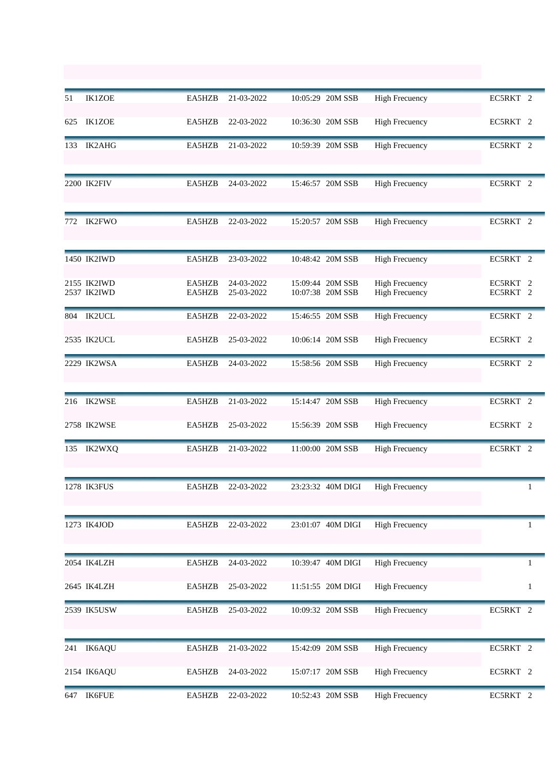| 51  | <b>IK1ZOE</b>              | EA5HZB           | 21-03-2022               | 10:05:29 20M SSB                     | <b>High Frecuency</b>                          | EC5RKT 2             |
|-----|----------------------------|------------------|--------------------------|--------------------------------------|------------------------------------------------|----------------------|
| 625 | <b>IK1ZOE</b>              | EA5HZB           | 22-03-2022               | 10:36:30 20M SSB                     | <b>High Frecuency</b>                          | EC5RKT 2             |
| 133 | IK2AHG                     | EA5HZB           | 21-03-2022               | 10:59:39 20M SSB                     | <b>High Frecuency</b>                          | EC5RKT 2             |
|     | 2200 IK2FIV                | EA5HZB           | 24-03-2022               | 15:46:57 20M SSB                     | <b>High Frecuency</b>                          | EC5RKT 2             |
| 772 | <b>IK2FWO</b>              | EA5HZB           | 22-03-2022               | 15:20:57 20M SSB                     | <b>High Frecuency</b>                          | EC5RKT 2             |
|     | 1450 IK2IWD                | EA5HZB           | 23-03-2022               | 10:48:42 20M SSB                     | <b>High Frecuency</b>                          | EC5RKT 2             |
|     | 2155 IK2IWD<br>2537 IK2IWD | EA5HZB<br>EA5HZB | 24-03-2022<br>25-03-2022 | 15:09:44 20M SSB<br>10:07:38 20M SSB | <b>High Frecuency</b><br><b>High Frecuency</b> | EC5RKT 2<br>EC5RKT 2 |
| 804 | <b>IK2UCL</b>              | EA5HZB           | 22-03-2022               | 15:46:55 20M SSB                     | <b>High Frecuency</b>                          | EC5RKT 2             |
|     | 2535 IK2UCL                | EA5HZB           | 25-03-2022               | 10:06:14 20M SSB                     | <b>High Frecuency</b>                          | EC5RKT 2             |
|     | 2229 IK2WSA                | EA5HZB           | 24-03-2022               | 15:58:56 20M SSB                     | <b>High Frecuency</b>                          | EC5RKT 2             |
| 216 | <b>IK2WSE</b>              | EA5HZB           | 21-03-2022               | 15:14:47 20M SSB                     | <b>High Frecuency</b>                          | EC5RKT 2             |
|     | 2758 IK2WSE                | EA5HZB           | 25-03-2022               | 15:56:39 20M SSB                     | <b>High Frecuency</b>                          | EC5RKT <sub>2</sub>  |
| 135 | <b>IK2WXQ</b>              | EA5HZB           | 21-03-2022               | 11:00:00 20M SSB                     | <b>High Frecuency</b>                          | EC5RKT 2             |
|     | 1278 IK3FUS                | EA5HZB           | 22-03-2022               | 23:23:32 40M DIGI                    | <b>High Frecuency</b>                          |                      |
|     | 1273 IK4JOD                | EA5HZB           | 22-03-2022               | 23:01:07 40M DIGI                    | <b>High Frecuency</b>                          | 1                    |
|     | 2054 IK4LZH                | EA5HZB           | 24-03-2022               | 10:39:47 40M DIGI                    | <b>High Frecuency</b>                          | 1                    |
|     | 2645 IK4LZH                | EA5HZB           | 25-03-2022               | 11:51:55 20M DIGI                    | <b>High Frecuency</b>                          | 1                    |
|     | 2539 IK5USW                | EA5HZB           | 25-03-2022               | 10:09:32 20M SSB                     | <b>High Frecuency</b>                          | EC5RKT 2             |
| 241 | IK6AQU                     | EA5HZB           | 21-03-2022               | 15:42:09 20M SSB                     | <b>High Frecuency</b>                          | EC5RKT 2             |
|     | 2154 IK6AQU                | EA5HZB           | 24-03-2022               | 15:07:17 20M SSB                     | <b>High Frecuency</b>                          | EC5RKT 2             |
| 647 | <b>IK6FUE</b>              | EA5HZB           | 22-03-2022               | 10:52:43 20M SSB                     | <b>High Frecuency</b>                          | EC5RKT 2             |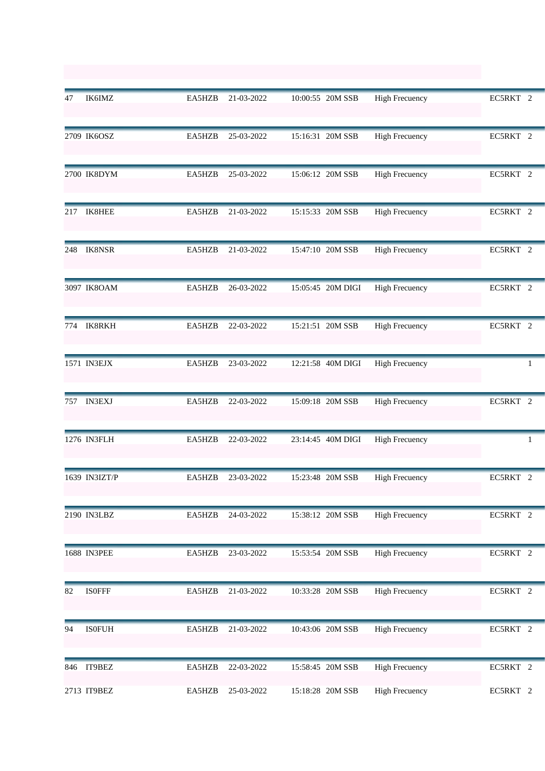| 47  | IK6IMZ        | EA5HZB | 21-03-2022 | 10:00:55 20M SSB  | <b>High Frecuency</b> | EC5RKT 2 |
|-----|---------------|--------|------------|-------------------|-----------------------|----------|
|     | 2709 IK6OSZ   | EA5HZB | 25-03-2022 | 15:16:31 20M SSB  | <b>High Frecuency</b> | EC5RKT 2 |
|     | 2700 IK8DYM   | EA5HZB | 25-03-2022 | 15:06:12 20M SSB  | <b>High Frecuency</b> | EC5RKT 2 |
|     | 217 IK8HEE    | EA5HZB | 21-03-2022 | 15:15:33 20M SSB  | <b>High Frecuency</b> | EC5RKT 2 |
| 248 | <b>IK8NSR</b> | EA5HZB | 21-03-2022 | 15:47:10 20M SSB  | <b>High Frecuency</b> | EC5RKT 2 |
|     | 3097 IK8OAM   | EA5HZB | 26-03-2022 | 15:05:45 20M DIGI | <b>High Frecuency</b> | EC5RKT 2 |
| 774 | <b>IK8RKH</b> | EA5HZB | 22-03-2022 | 15:21:51 20M SSB  | <b>High Frecuency</b> | EC5RKT 2 |
|     | 1571 IN3EJX   | EA5HZB | 23-03-2022 | 12:21:58 40M DIGI | <b>High Frecuency</b> | 1        |
|     | 757 IN3EXJ    | EA5HZB | 22-03-2022 | 15:09:18 20M SSB  | <b>High Frecuency</b> | EC5RKT 2 |
|     | 1276 IN3FLH   | EA5HZB | 22-03-2022 | 23:14:45 40M DIGI | <b>High Frecuency</b> | 1        |
|     | 1639 IN3IZT/P | EA5HZB | 23-03-2022 | 15:23:48 20M SSB  | <b>High Frecuency</b> | EC5RKT 2 |
|     | 2190 IN3LBZ   | EA5HZB | 24-03-2022 | 15:38:12 20M SSB  | <b>High Frecuency</b> | EC5RKT 2 |
|     | 1688 IN3PEE   | EA5HZB | 23-03-2022 | 15:53:54 20M SSB  | <b>High Frecuency</b> | EC5RKT 2 |
| 82  | <b>ISOFFF</b> | EA5HZB | 21-03-2022 | 10:33:28 20M SSB  | <b>High Frecuency</b> | EC5RKT 2 |
| 94  | <b>ISOFUH</b> | EA5HZB | 21-03-2022 | 10:43:06 20M SSB  | <b>High Frecuency</b> | EC5RKT 2 |
|     | 846 IT9BEZ    | EA5HZB | 22-03-2022 | 15:58:45 20M SSB  | <b>High Frecuency</b> | EC5RKT 2 |
|     | 2713 IT9BEZ   | EA5HZB | 25-03-2022 | 15:18:28 20M SSB  | <b>High Frecuency</b> | EC5RKT 2 |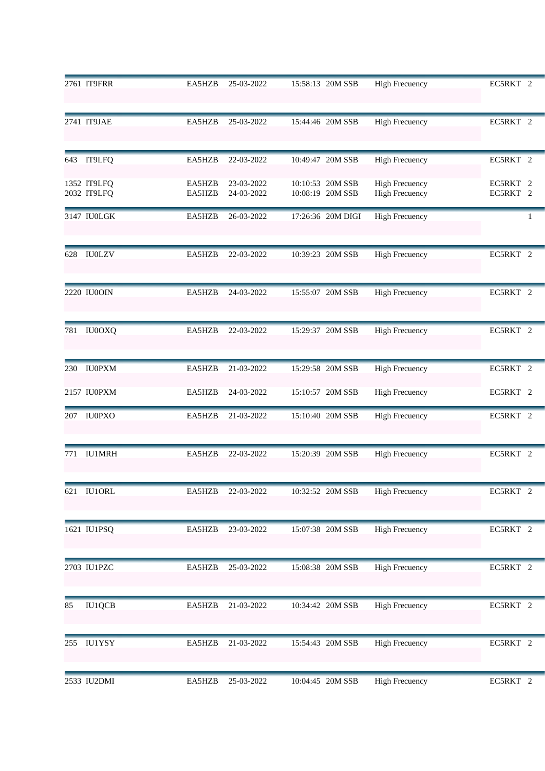|     | 2761 IT9FRR                | EA5HZB           | 25-03-2022               | 15:58:13 20M SSB                     | <b>High Frecuency</b>                          | EC5RKT 2             |
|-----|----------------------------|------------------|--------------------------|--------------------------------------|------------------------------------------------|----------------------|
|     | 2741 IT9JAE                | EA5HZB           | 25-03-2022               | 15:44:46 20M SSB                     | <b>High Frecuency</b>                          | EC5RKT 2             |
|     | 643 IT9LFQ                 | EA5HZB           | 22-03-2022               | 10:49:47 20M SSB                     | <b>High Frecuency</b>                          | EC5RKT 2             |
|     | 1352 IT9LFQ<br>2032 IT9LFQ | EA5HZB<br>EA5HZB | 23-03-2022<br>24-03-2022 | 10:10:53 20M SSB<br>10:08:19 20M SSB | <b>High Frecuency</b><br><b>High Frecuency</b> | EC5RKT 2<br>EC5RKT 2 |
|     | 3147 IU0LGK                | EA5HZB           | 26-03-2022               | 17:26:36 20M DIGI                    | <b>High Frecuency</b>                          | 1                    |
|     | 628 IU0LZV                 | EA5HZB           | 22-03-2022               | 10:39:23 20M SSB                     | <b>High Frecuency</b>                          | EC5RKT 2             |
|     | 2220 IU0OIN                | EA5HZB           | 24-03-2022               | 15:55:07 20M SSB                     | <b>High Frecuency</b>                          | EC5RKT 2             |
| 781 | <b>IU0OXQ</b>              | EA5HZB           | 22-03-2022               | 15:29:37 20M SSB                     | <b>High Frecuency</b>                          | EC5RKT 2             |
| 230 | <b>IU0PXM</b>              | EA5HZB           | 21-03-2022               | 15:29:58 20M SSB                     | <b>High Frecuency</b>                          | EC5RKT 2             |
|     | 2157 IU0PXM                | EA5HZB           | 24-03-2022               | 15:10:57 20M SSB                     | <b>High Frecuency</b>                          | EC5RKT 2             |
|     | 207 IU0PXO                 | EA5HZB           | 21-03-2022               | 15:10:40 20M SSB                     | <b>High Frecuency</b>                          | EC5RKT <sub>2</sub>  |
| 771 | <b>IU1MRH</b>              | EA5HZB           | 22-03-2022               | 15:20:39 20M SSB                     | <b>High Frecuency</b>                          | EC5RKT 2             |
|     | 621 IU1ORL                 | EA5HZB           | 22-03-2022               | 10:32:52 20M SSB                     | <b>High Frecuency</b>                          | EC5RKT 2             |
|     | 1621 IU1PSQ                | EA5HZB           | 23-03-2022               | 15:07:38 20M SSB                     | <b>High Frecuency</b>                          | EC5RKT 2             |
|     | 2703 IU1PZC                | EA5HZB           | 25-03-2022               | 15:08:38 20M SSB                     | <b>High Frecuency</b>                          | EC5RKT 2             |
| 85  | <b>IU1QCB</b>              | EA5HZB           | 21-03-2022               | 10:34:42 20M SSB                     | <b>High Frecuency</b>                          | EC5RKT 2             |
| 255 | <b>IU1YSY</b>              | EA5HZB           | 21-03-2022               | 15:54:43 20M SSB                     | <b>High Frecuency</b>                          | EC5RKT 2             |
|     | 2533 IU2DMI                | EA5HZB           | 25-03-2022               | 10:04:45 20M SSB                     | <b>High Frecuency</b>                          | EC5RKT 2             |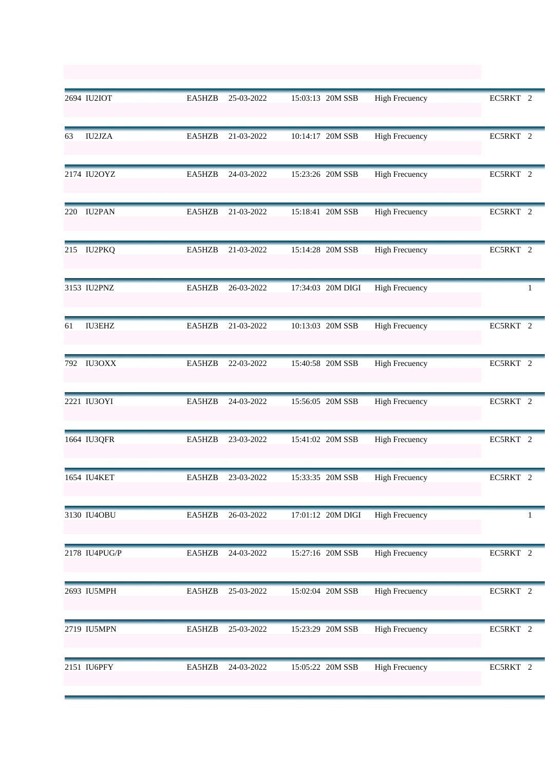|     | 2694 IU2IOT   | EA5HZB | 25-03-2022 | 15:03:13 20M SSB  | <b>High Frecuency</b> | EC5RKT 2 |
|-----|---------------|--------|------------|-------------------|-----------------------|----------|
| 63  | <b>IU2JZA</b> | EA5HZB | 21-03-2022 | 10:14:17 20M SSB  | <b>High Frecuency</b> | EC5RKT 2 |
|     | 2174 IU2OYZ   | EA5HZB | 24-03-2022 | 15:23:26 20M SSB  | <b>High Frecuency</b> | EC5RKT 2 |
| 220 | <b>IU2PAN</b> | EA5HZB | 21-03-2022 | 15:18:41 20M SSB  | <b>High Frecuency</b> | EC5RKT 2 |
|     | 215 IU2PKQ    | EA5HZB | 21-03-2022 | 15:14:28 20M SSB  | <b>High Frecuency</b> | EC5RKT 2 |
|     | 3153 IU2PNZ   | EA5HZB | 26-03-2022 | 17:34:03 20M DIGI | <b>High Frecuency</b> | 1        |
| 61  | <b>IU3EHZ</b> | EA5HZB | 21-03-2022 | 10:13:03 20M SSB  | <b>High Frecuency</b> | EC5RKT 2 |
| 792 | IU3OXX        | EA5HZB | 22-03-2022 | 15:40:58 20M SSB  | <b>High Frecuency</b> | EC5RKT 2 |
|     | 2221 IU3OYI   | EA5HZB | 24-03-2022 | 15:56:05 20M SSB  | <b>High Frecuency</b> | EC5RKT 2 |
|     | 1664 IU3QFR   | EA5HZB | 23-03-2022 | 15:41:02 20M SSB  | <b>High Frecuency</b> | EC5RKT 2 |
|     | 1654 IU4KET   | EA5HZB | 23-03-2022 | 15:33:35 20M SSB  | <b>High Frecuency</b> | EC5RKT 2 |
|     | 3130 IU4OBU   | EA5HZB | 26-03-2022 | 17:01:12 20M DIGI | <b>High Frecuency</b> | 1        |
|     | 2178 IU4PUG/P | EA5HZB | 24-03-2022 | 15:27:16 20M SSB  | <b>High Frecuency</b> | EC5RKT 2 |
|     | 2693 IU5MPH   | EA5HZB | 25-03-2022 | 15:02:04 20M SSB  | <b>High Frecuency</b> | EC5RKT 2 |
|     | 2719 IU5MPN   | EA5HZB | 25-03-2022 | 15:23:29 20M SSB  | <b>High Frecuency</b> | EC5RKT 2 |
|     | 2151 IU6PFY   | EA5HZB | 24-03-2022 | 15:05:22 20M SSB  | <b>High Frecuency</b> | EC5RKT 2 |
|     |               |        |            |                   |                       |          |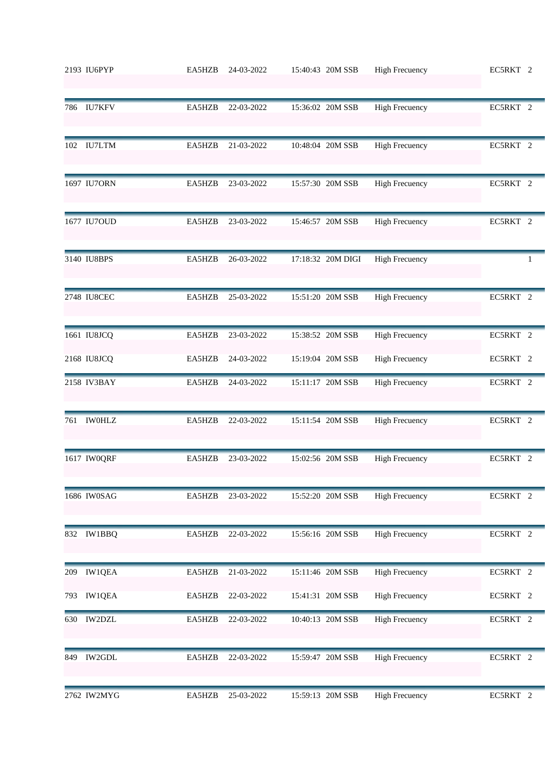|     | 2193 IU6PYP   | EA5HZB | 24-03-2022 | 15:40:43 20M SSB  | <b>High Frecuency</b> | EC5RKT 2 |
|-----|---------------|--------|------------|-------------------|-----------------------|----------|
|     | 786 IU7KFV    | EA5HZB | 22-03-2022 | 15:36:02 20M SSB  | <b>High Frecuency</b> | EC5RKT 2 |
|     | 102 IU7LTM    | EA5HZB | 21-03-2022 | 10:48:04 20M SSB  | <b>High Frecuency</b> | EC5RKT 2 |
|     | 1697 IU7ORN   | EA5HZB | 23-03-2022 | 15:57:30 20M SSB  | <b>High Frecuency</b> | EC5RKT 2 |
|     | 1677 IU7OUD   | EA5HZB | 23-03-2022 | 15:46:57 20M SSB  | <b>High Frecuency</b> | EC5RKT 2 |
|     | 3140 IU8BPS   | EA5HZB | 26-03-2022 | 17:18:32 20M DIGI | <b>High Frecuency</b> | 1        |
|     | 2748 IU8CEC   | EA5HZB | 25-03-2022 | 15:51:20 20M SSB  | <b>High Frecuency</b> | EC5RKT 2 |
|     | 1661 IU8JCQ   | EA5HZB | 23-03-2022 | 15:38:52 20M SSB  | <b>High Frecuency</b> | EC5RKT 2 |
|     | 2168 IU8JCQ   | EA5HZB | 24-03-2022 | 15:19:04 20M SSB  | <b>High Frecuency</b> | EC5RKT 2 |
|     | 2158 IV3BAY   | EA5HZB | 24-03-2022 | 15:11:17 20M SSB  | <b>High Frecuency</b> | EC5RKT 2 |
|     | 761 IWOHLZ    | EA5HZB | 22-03-2022 | 15:11:54 20M SSB  | <b>High Frecuency</b> | EC5RKT 2 |
|     | 1617 IW0QRF   | EA5HZB | 23-03-2022 | 15:02:56 20M SSB  | <b>High Frecuency</b> | EC5RKT 2 |
|     | 1686 IW0SAG   | EA5HZB | 23-03-2022 | 15:52:20 20M SSB  | <b>High Frecuency</b> | EC5RKT 2 |
|     | 832 IW1BBQ    | EA5HZB | 22-03-2022 | 15:56:16 20M SSB  | <b>High Frecuency</b> | EC5RKT 2 |
| 209 | <b>IW1QEA</b> | EA5HZB | 21-03-2022 | 15:11:46 20M SSB  | <b>High Frecuency</b> | EC5RKT 2 |
|     | 793 IW1QEA    | EA5HZB | 22-03-2022 | 15:41:31 20M SSB  | <b>High Frecuency</b> | EC5RKT 2 |
| 630 | <b>IW2DZL</b> | EA5HZB | 22-03-2022 | 10:40:13 20M SSB  | <b>High Frecuency</b> | EC5RKT 2 |
| 849 | <b>IW2GDL</b> | EA5HZB | 22-03-2022 | 15:59:47 20M SSB  | <b>High Frecuency</b> | EC5RKT 2 |
|     | 2762 IW2MYG   | EA5HZB | 25-03-2022 | 15:59:13 20M SSB  | <b>High Frecuency</b> | EC5RKT 2 |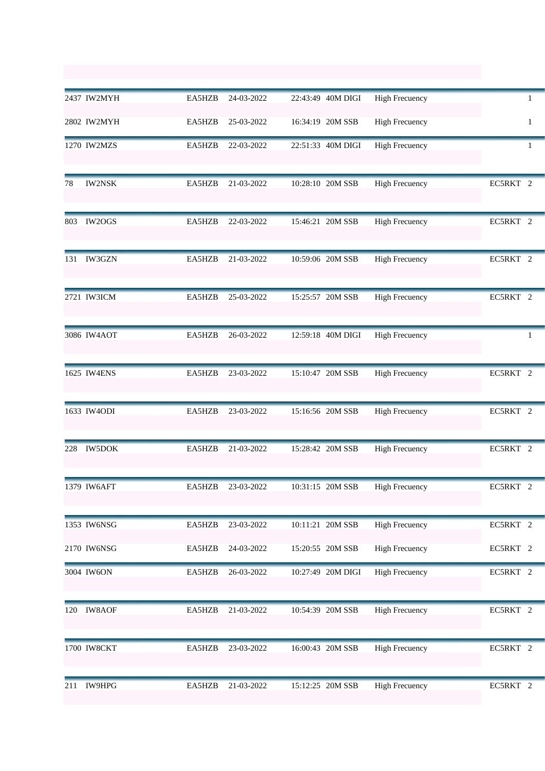|     | 2437 IW2MYH   | EA5HZB | 24-03-2022 | 22:43:49 40M DIGI | <b>High Frecuency</b> | 1                   |
|-----|---------------|--------|------------|-------------------|-----------------------|---------------------|
|     | 2802 IW2MYH   | EA5HZB | 25-03-2022 | 16:34:19 20M SSB  | <b>High Frecuency</b> | $\mathbf{1}$        |
|     | 1270 IW2MZS   | EA5HZB | 22-03-2022 | 22:51:33 40M DIGI | <b>High Frecuency</b> | 1                   |
| 78  | <b>IW2NSK</b> | EA5HZB | 21-03-2022 | 10:28:10 20M SSB  | <b>High Frecuency</b> | EC5RKT 2            |
| 803 | IW2OGS        | EA5HZB | 22-03-2022 | 15:46:21 20M SSB  | <b>High Frecuency</b> | EC5RKT 2            |
| 131 | <b>IW3GZN</b> | EA5HZB | 21-03-2022 | 10:59:06 20M SSB  | <b>High Frecuency</b> | EC5RKT 2            |
|     | 2721 IW3ICM   | EA5HZB | 25-03-2022 | 15:25:57 20M SSB  | <b>High Frecuency</b> | EC5RKT 2            |
|     | 3086 IW4AOT   | EA5HZB | 26-03-2022 | 12:59:18 40M DIGI | <b>High Frecuency</b> | 1                   |
|     | 1625 IW4ENS   | EA5HZB | 23-03-2022 | 15:10:47 20M SSB  | <b>High Frecuency</b> | EC5RKT 2            |
|     | 1633 IW4ODI   | EA5HZB | 23-03-2022 | 15:16:56 20M SSB  | <b>High Frecuency</b> | EC5RKT 2            |
| 228 | <b>IW5DOK</b> | EA5HZB | 21-03-2022 | 15:28:42 20M SSB  | <b>High Frecuency</b> | EC5RKT 2            |
|     | 1379 IW6AFT   | EA5HZB | 23-03-2022 | 10:31:15 20M SSB  | <b>High Frecuency</b> | EC5RKT <sub>2</sub> |
|     | 1353 IW6NSG   | EA5HZB | 23-03-2022 | 10:11:21 20M SSB  | <b>High Frecuency</b> | EC5RKT 2            |
|     | 2170 IW6NSG   | EA5HZB | 24-03-2022 | 15:20:55 20M SSB  | <b>High Frecuency</b> | EC5RKT 2            |
|     | 3004 IW6ON    | EA5HZB | 26-03-2022 | 10:27:49 20M DIGI | <b>High Frecuency</b> | EC5RKT 2            |
| 120 | <b>IW8AOF</b> | EA5HZB | 21-03-2022 | 10:54:39 20M SSB  | <b>High Frecuency</b> | EC5RKT 2            |
|     | 1700 IW8CKT   | EA5HZB | 23-03-2022 | 16:00:43 20M SSB  | <b>High Frecuency</b> | EC5RKT 2            |
| 211 | <b>IW9HPG</b> | EA5HZB | 21-03-2022 | 15:12:25 20M SSB  | <b>High Frecuency</b> | EC5RKT 2            |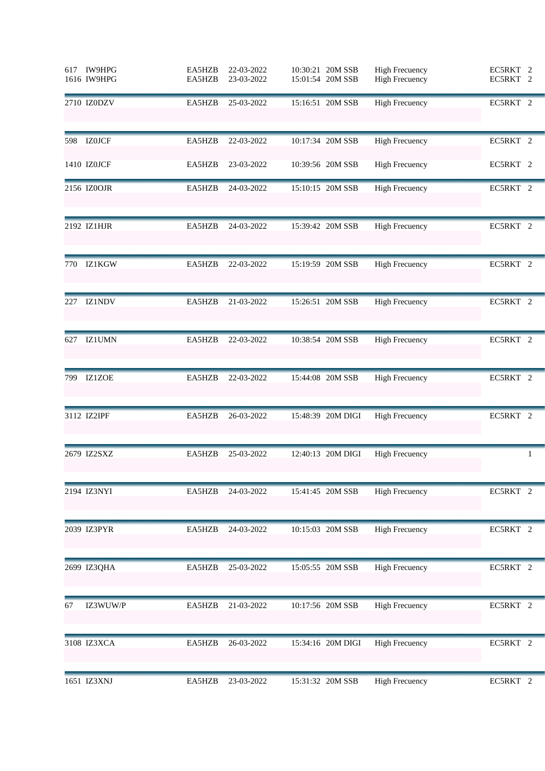|      | 617 IW9HPG<br>1616 IW9HPG | EA5HZB<br>EA5HZB | 22-03-2022<br>23-03-2022 | 10:30:21 20M SSB<br>15:01:54 20M SSB | <b>High Frecuency</b><br><b>High Frecuency</b> | EC5RKT 2<br>EC5RKT 2 |
|------|---------------------------|------------------|--------------------------|--------------------------------------|------------------------------------------------|----------------------|
|      | 2710 IZ0DZV               | EA5HZB           | 25-03-2022               | 15:16:51 20M SSB                     | <b>High Frecuency</b>                          | EC5RKT 2             |
| 598  | <b>IZ0JCF</b>             | EA5HZB           | 22-03-2022               | 10:17:34 20M SSB                     | <b>High Frecuency</b>                          | EC5RKT 2             |
|      | 1410 IZ0JCF               | EA5HZB           | 23-03-2022               | 10:39:56 20M SSB                     | <b>High Frecuency</b>                          | EC5RKT 2             |
|      | 2156 IZ0OJR               | EA5HZB           | 24-03-2022               | 15:10:15 20M SSB                     | <b>High Frecuency</b>                          | EC5RKT 2             |
|      | 2192 IZ1HJR               | EA5HZB           | 24-03-2022               | 15:39:42 20M SSB                     | <b>High Frecuency</b>                          | EC5RKT 2             |
| 770  | IZ1KGW                    | EA5HZB           | 22-03-2022               | 15:19:59 20M SSB                     | <b>High Frecuency</b>                          | EC5RKT 2             |
| 227  | <b>IZ1NDV</b>             | EA5HZB           | 21-03-2022               | 15:26:51 20M SSB                     | <b>High Frecuency</b>                          | EC5RKT 2             |
| 627  | <b>IZ1UMN</b>             | EA5HZB           | 22-03-2022               | 10:38:54 20M SSB                     | <b>High Frecuency</b>                          | EC5RKT 2             |
| 799. | <b>IZ1ZOE</b>             | EA5HZB           | 22-03-2022               | 15:44:08 20M SSB                     | <b>High Frecuency</b>                          | EC5RKT 2             |
|      | 3112 IZ2IPF               | EA5HZB           | 26-03-2022               | 15:48:39 20M DIGI                    | <b>High Frecuency</b>                          | EC5RKT 2             |
|      | 2679 IZ2SXZ               | EA5HZB           | 25-03-2022               | 12:40:13 20M DIGI                    | <b>High Frecuency</b>                          | 1                    |
|      | 2194 IZ3NYI               | EA5HZB           | 24-03-2022               | 15:41:45 20M SSB                     | <b>High Frecuency</b>                          | EC5RKT 2             |
|      | 2039 IZ3PYR               | EA5HZB           | 24-03-2022               | 10:15:03 20M SSB                     | <b>High Frecuency</b>                          | EC5RKT 2             |
|      | 2699 IZ3QHA               | EA5HZB           | 25-03-2022               | 15:05:55 20M SSB                     | <b>High Frecuency</b>                          | EC5RKT 2             |
| 67   | IZ3WUW/P                  | EA5HZB           | 21-03-2022               | 10:17:56 20M SSB                     | <b>High Frecuency</b>                          | EC5RKT 2             |
|      | 3108 IZ3XCA               | EA5HZB           | 26-03-2022               | 15:34:16 20M DIGI                    | <b>High Frecuency</b>                          | EC5RKT 2             |
|      | 1651 IZ3XNJ               | EA5HZB           | 23-03-2022               | 15:31:32 20M SSB                     | <b>High Frecuency</b>                          | EC5RKT 2             |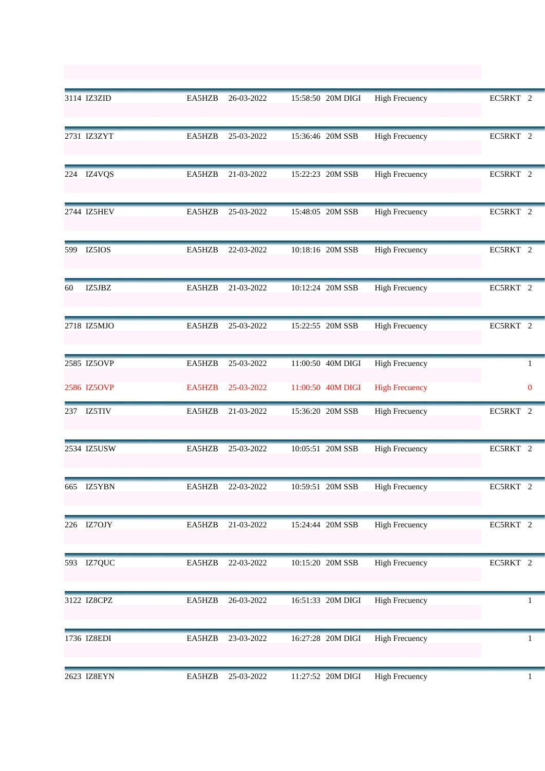|     | 3114 IZ3ZID | EA5HZB        | 26-03-2022 | 15:58:50 20M DIGI | <b>High Frecuency</b> | EC5RKT 2            |
|-----|-------------|---------------|------------|-------------------|-----------------------|---------------------|
|     | 2731 IZ3ZYT | EA5HZB        | 25-03-2022 | 15:36:46 20M SSB  | <b>High Frecuency</b> | EC5RKT 2            |
|     | 224 IZ4VQS  | EA5HZB        | 21-03-2022 | 15:22:23 20M SSB  | <b>High Frecuency</b> | EC5RKT 2            |
|     | 2744 IZ5HEV | EA5HZB        | 25-03-2022 | 15:48:05 20M SSB  | <b>High Frecuency</b> | EC5RKT 2            |
| 599 | IZ5IOS      | EA5HZB        | 22-03-2022 | 10:18:16 20M SSB  | <b>High Frecuency</b> | EC5RKT 2            |
| 60  | IZ5JBZ      | EA5HZB        | 21-03-2022 | 10:12:24 20M SSB  | <b>High Frecuency</b> | EC5RKT 2            |
|     | 2718 IZ5MJO | EA5HZB        | 25-03-2022 | 15:22:55 20M SSB  | <b>High Frecuency</b> | EC5RKT 2            |
|     | 2585 IZ5OVP | EA5HZB        | 25-03-2022 | 11:00:50 40M DIGI | <b>High Frecuency</b> | $\mathbf{1}$        |
|     | 2586 IZ5OVP | <b>EA5HZB</b> | 25-03-2022 | 11:00:50 40M DIGI | <b>High Frecuency</b> | $\mathbf{0}$        |
|     | 237 IZ5TIV  | EA5HZB        | 21-03-2022 | 15:36:20 20M SSB  | <b>High Frecuency</b> | EC5RKT 2            |
|     | 2534 IZ5USW | EA5HZB        | 25-03-2022 | 10:05:51 20M SSB  | <b>High Frecuency</b> | EC5RKT 2            |
| 665 | IZ5YBN      | EA5HZB        | 22-03-2022 | 10:59:51 20M SSB  | High Frecuency        | EC5RKT <sub>2</sub> |
|     | 226 IZ7OJY  | EA5HZB        | 21-03-2022 | 15:24:44 20M SSB  | <b>High Frecuency</b> | EC5RKT 2            |
|     | 593 IZ7QUC  | EA5HZB        | 22-03-2022 | 10:15:20 20M SSB  | <b>High Frecuency</b> | EC5RKT 2            |
|     | 3122 IZ8CPZ | EA5HZB        | 26-03-2022 | 16:51:33 20M DIGI | <b>High Frecuency</b> | 1                   |
|     | 1736 IZ8EDI | EA5HZB        | 23-03-2022 | 16:27:28 20M DIGI | <b>High Frecuency</b> | 1                   |
|     | 2623 IZ8EYN | EA5HZB        | 25-03-2022 | 11:27:52 20M DIGI | <b>High Frecuency</b> | $\mathbf{1}$        |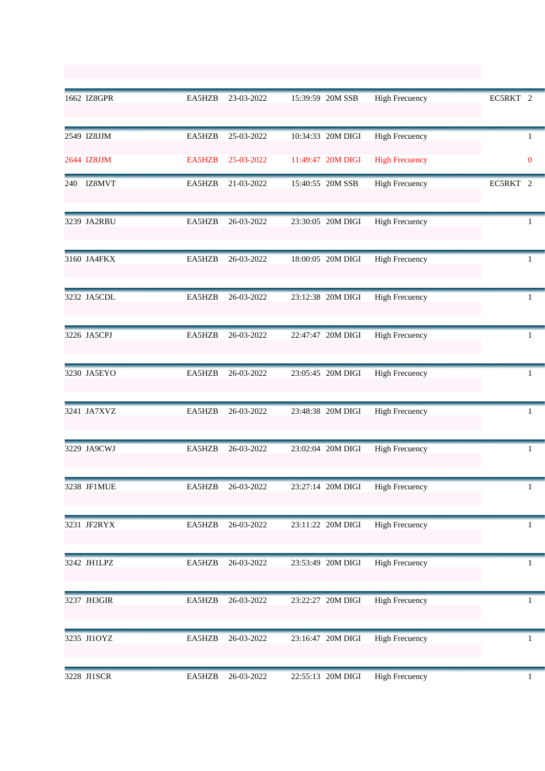|     | 1662 IZ8GPR | EA5HZB | 23-03-2022        | 15:39:59 20M SSB                 | <b>High Frecuency</b> | EC5RKT 2 |              |
|-----|-------------|--------|-------------------|----------------------------------|-----------------------|----------|--------------|
|     | 2549 IZ8JJM | EA5HZB | 25-03-2022        | 10:34:33 20M DIGI                | <b>High Frecuency</b> |          | 1            |
|     | 2644 IZ8JJM | EA5HZB | 25-03-2022        | 11:49:47 20M DIGI                | <b>High Frecuency</b> |          | $\mathbf{0}$ |
| 240 | IZ8MVT      | EA5HZB | 21-03-2022        | 15:40:55 20M SSB                 | <b>High Frecuency</b> | EC5RKT 2 |              |
|     | 3239 JA2RBU | EA5HZB | 26-03-2022        | 23:30:05 20M DIGI                | <b>High Frecuency</b> |          | 1            |
|     | 3160 JA4FKX | EA5HZB | 26-03-2022        | 18:00:05 20M DIGI                | <b>High Frecuency</b> |          | 1            |
|     | 3232 JA5CDL | EA5HZB | 26-03-2022        | 23:12:38 20M DIGI                | <b>High Frecuency</b> |          | 1            |
|     | 3226 JA5CPJ | EA5HZB | 26-03-2022        | 22:47:47 20M DIGI                | <b>High Frecuency</b> |          | 1            |
|     | 3230 JA5EYO | EA5HZB | 26-03-2022        | 23:05:45 20M DIGI                | <b>High Frecuency</b> |          | 1            |
|     | 3241 JA7XVZ | EA5HZB | 26-03-2022        | 23:48:38 20M DIGI                | <b>High Frecuency</b> |          | 1            |
|     | 3229 JA9CWJ | EA5HZB | 26-03-2022        | 23:02:04 20M DIGI                | <b>High Frecuency</b> |          | 1            |
|     | 3238 JF1MUE |        | EA5HZB 26-03-2022 | 23:27:14 20M DIGI High Frecuency |                       |          |              |
|     | 3231 JF2RYX | EA5HZB | 26-03-2022        | 23:11:22 20M DIGI                | <b>High Frecuency</b> |          | 1            |
|     | 3242 JH1LPZ | EA5HZB | 26-03-2022        | 23:53:49 20M DIGI                | <b>High Frecuency</b> |          |              |
|     | 3237 JH3GIR | EA5HZB | 26-03-2022        | 23:22:27 20M DIGI                | <b>High Frecuency</b> |          | 1            |
|     | 3235 JI1OYZ | EA5HZB | 26-03-2022        | 23:16:47 20M DIGI                | <b>High Frecuency</b> |          | 1            |
|     | 3228 JI1SCR | EA5HZB | 26-03-2022        | 22:55:13 20M DIGI                | <b>High Frecuency</b> |          | $\mathbf{1}$ |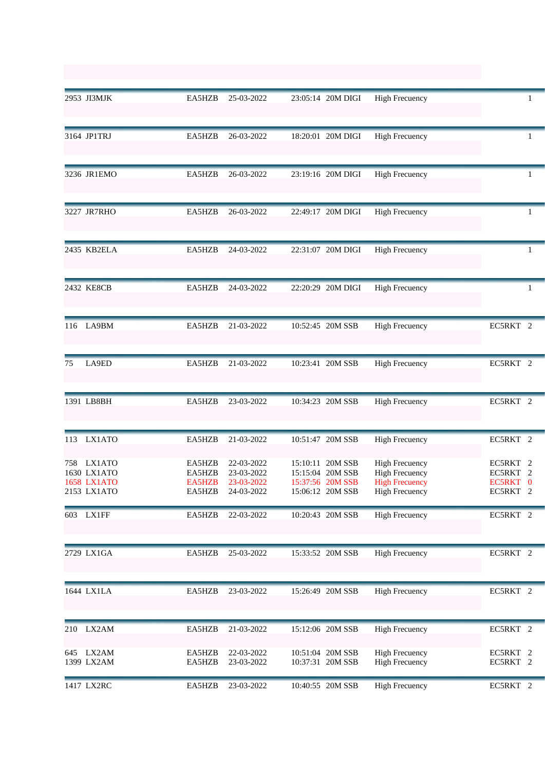|     | 2953 JI3MJK                                         | EA5HZB                               | 25-03-2022                                           | 23:05:14 20M DIGI                                                            | <b>High Frecuency</b>                                                                            |                                                                       |
|-----|-----------------------------------------------------|--------------------------------------|------------------------------------------------------|------------------------------------------------------------------------------|--------------------------------------------------------------------------------------------------|-----------------------------------------------------------------------|
|     | 3164 JP1TRJ                                         | EA5HZB                               | 26-03-2022                                           | 18:20:01 20M DIGI                                                            | <b>High Frecuency</b>                                                                            | 1                                                                     |
|     | 3236 JR1EMO                                         | EA5HZB                               | 26-03-2022                                           | 23:19:16 20M DIGI                                                            | <b>High Frecuency</b>                                                                            | 1                                                                     |
|     | 3227 JR7RHO                                         | EA5HZB                               | 26-03-2022                                           | 22:49:17 20M DIGI                                                            | <b>High Frecuency</b>                                                                            | 1                                                                     |
|     | 2435 KB2ELA                                         | EA5HZB                               | 24-03-2022                                           | 22:31:07 20M DIGI                                                            | <b>High Frecuency</b>                                                                            | 1                                                                     |
|     | 2432 KE8CB                                          | EA5HZB                               | 24-03-2022                                           | 22:20:29 20M DIGI                                                            | <b>High Frecuency</b>                                                                            | 1                                                                     |
| 116 | LA9BM                                               | EA5HZB                               | 21-03-2022                                           | 10:52:45 20M SSB                                                             | <b>High Frecuency</b>                                                                            | EC5RKT 2                                                              |
| 75  | LA9ED                                               | EA5HZB                               | 21-03-2022                                           | 10:23:41 20M SSB                                                             | <b>High Frecuency</b>                                                                            | EC5RKT 2                                                              |
|     | 1391 LB8BH                                          | EA5HZB                               | 23-03-2022                                           | 10:34:23 20M SSB                                                             | <b>High Frecuency</b>                                                                            | EC5RKT 2                                                              |
| 113 | LX1ATO                                              | EA5HZB                               | 21-03-2022                                           | 10:51:47 20M SSB                                                             | <b>High Frecuency</b>                                                                            | EC5RKT 2                                                              |
| 758 | LX1ATO<br>1630 LX1ATO<br>1658 LX1ATO<br>2153 LX1ATO | EA5HZB<br>EA5HZB<br>EA5HZB<br>EA5HZB | 22-03-2022<br>23-03-2022<br>23-03-2022<br>24-03-2022 | 15:10:11 20M SSB<br>15:15:04 20M SSB<br>15:37:56 20M SSB<br>15:06:12 20M SSB | <b>High Frecuency</b><br><b>High Frecuency</b><br><b>High Frecuency</b><br><b>High Frecuency</b> | EC5RKT <sub>2</sub><br>EC5RKT<br>2<br>EC5RKT 0<br>EC5RKT <sub>2</sub> |
|     | 603 LX1FF                                           | EA5HZB                               | 22-03-2022                                           | 10:20:43 20M SSB                                                             | <b>High Frecuency</b>                                                                            | EC5RKT 2                                                              |
|     | 2729 LX1GA                                          | EA5HZB                               | 25-03-2022                                           | 15:33:52 20M SSB                                                             | <b>High Frecuency</b>                                                                            | EC5RKT 2                                                              |
|     | 1644 LX1LA                                          | EA5HZB                               | 23-03-2022                                           | 15:26:49 20M SSB                                                             | <b>High Frecuency</b>                                                                            | EC5RKT 2                                                              |
| 210 | LX2AM                                               | EA5HZB                               | 21-03-2022                                           | 15:12:06 20M SSB                                                             | <b>High Frecuency</b>                                                                            | EC5RKT 2                                                              |
|     | 645 LX2AM<br>1399 LX2AM                             | EA5HZB<br>EA5HZB                     | 22-03-2022<br>23-03-2022                             | 10:51:04 20M SSB<br>10:37:31 20M SSB                                         | <b>High Frecuency</b><br><b>High Frecuency</b>                                                   | EC5RKT 2<br>EC5RKT 2                                                  |
|     | 1417 LX2RC                                          | EA5HZB                               | 23-03-2022                                           | 10:40:55 20M SSB                                                             | <b>High Frecuency</b>                                                                            | EC5RKT 2                                                              |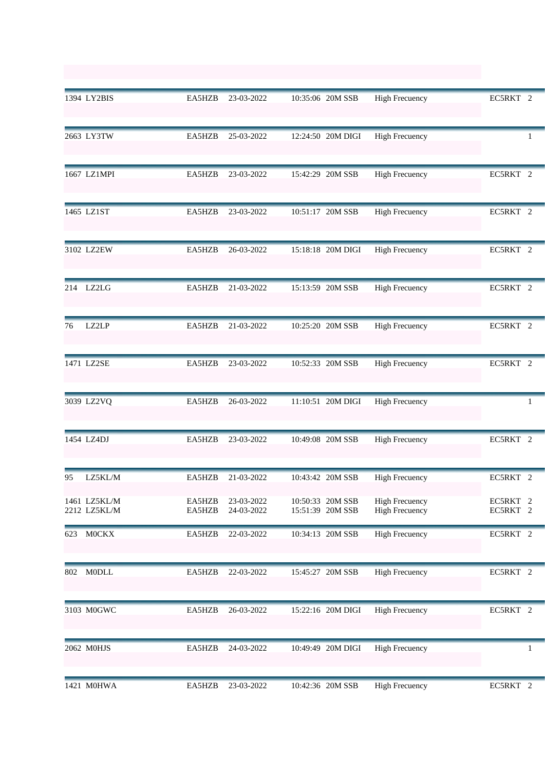|     | 1394 LY2BIS                  | EA5HZB           | 23-03-2022               | 10:35:06 20M SSB                     | <b>High Frecuency</b>                          | EC5RKT 2             |
|-----|------------------------------|------------------|--------------------------|--------------------------------------|------------------------------------------------|----------------------|
|     | 2663 LY3TW                   | EA5HZB           | 25-03-2022               | 12:24:50 20M DIGI                    | <b>High Frecuency</b>                          | 1                    |
|     | 1667 LZ1MPI                  | EA5HZB           | 23-03-2022               | 15:42:29 20M SSB                     | <b>High Frecuency</b>                          | EC5RKT 2             |
|     | 1465 LZ1ST                   | EA5HZB           | 23-03-2022               | 10:51:17 20M SSB                     | <b>High Frecuency</b>                          | EC5RKT 2             |
|     | 3102 LZ2EW                   | EA5HZB           | 26-03-2022               | 15:18:18 20M DIGI                    | <b>High Frecuency</b>                          | EC5RKT 2             |
|     | 214 LZ2LG                    | EA5HZB           | 21-03-2022               | 15:13:59 20M SSB                     | <b>High Frecuency</b>                          | EC5RKT 2             |
| 76  | LZ2LP                        | EA5HZB           | 21-03-2022               | 10:25:20 20M SSB                     | <b>High Frecuency</b>                          | EC5RKT 2             |
|     | 1471 LZ2SE                   | EA5HZB           | 23-03-2022               | 10:52:33 20M SSB                     | <b>High Frecuency</b>                          | EC5RKT 2             |
|     | 3039 LZ2VQ                   | EA5HZB           | 26-03-2022               | 11:10:51 20M DIGI                    | <b>High Frecuency</b>                          | 1                    |
|     | 1454 LZ4DJ                   | EA5HZB           | 23-03-2022               | 10:49:08 20M SSB                     | <b>High Frecuency</b>                          | EC5RKT 2             |
| 95  | LZ5KL/M                      | EA5HZB           | 21-03-2022               | 10:43:42 20M SSB                     | <b>High Frecuency</b>                          | EC5RKT 2             |
|     | 1461 LZ5KL/M<br>2212 LZ5KL/M | EA5HZB<br>EA5HZB | 23-03-2022<br>24-03-2022 | 10:50:33 20M SSB<br>15:51:39 20M SSB | <b>High Frecuency</b><br><b>High Frecuency</b> | EC5RKT 2<br>EC5RKT 2 |
| 623 | <b>MOCKX</b>                 | EA5HZB           | 22-03-2022               | 10:34:13 20M SSB                     | <b>High Frecuency</b>                          | EC5RKT 2             |
| 802 | <b>MODLL</b>                 | EA5HZB           | 22-03-2022               | 15:45:27 20M SSB                     | <b>High Frecuency</b>                          | EC5RKT 2             |
|     | 3103 M0GWC                   | EA5HZB           | 26-03-2022               | 15:22:16 20M DIGI                    | <b>High Frecuency</b>                          | EC5RKT 2             |
|     | 2062 M0HJS                   | EA5HZB           | 24-03-2022               | 10:49:49 20M DIGI                    | <b>High Frecuency</b>                          |                      |
|     | 1421 M0HWA                   | EA5HZB           | 23-03-2022               | 10:42:36 20M SSB                     | <b>High Frecuency</b>                          | EC5RKT 2             |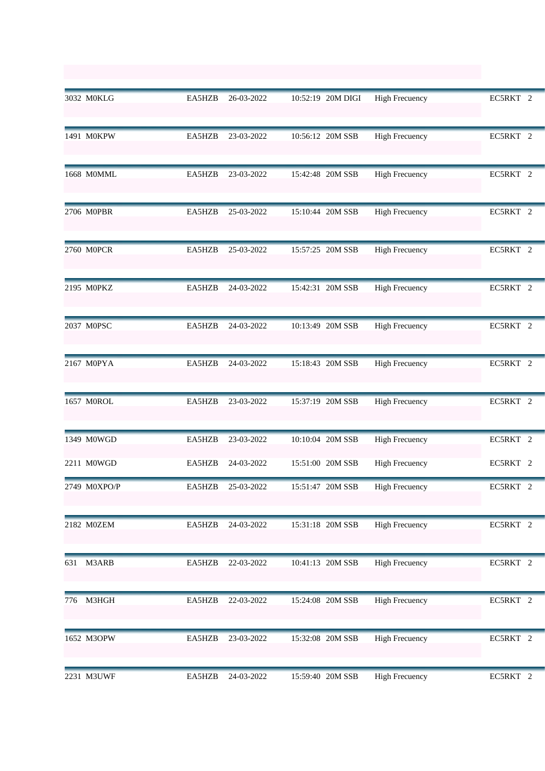|     | 3032 M0KLG   | EA5HZB | 26-03-2022 | 10:52:19 20M DIGI | <b>High Frecuency</b> | EC5RKT 2            |
|-----|--------------|--------|------------|-------------------|-----------------------|---------------------|
|     | 1491 M0KPW   | EA5HZB | 23-03-2022 | 10:56:12 20M SSB  | <b>High Frecuency</b> | EC5RKT 2            |
|     | 1668 M0MML   | EA5HZB | 23-03-2022 | 15:42:48 20M SSB  | <b>High Frecuency</b> | EC5RKT 2            |
|     | 2706 M0PBR   | EA5HZB | 25-03-2022 | 15:10:44 20M SSB  | <b>High Frecuency</b> | EC5RKT 2            |
|     | 2760 M0PCR   | EA5HZB | 25-03-2022 | 15:57:25 20M SSB  | <b>High Frecuency</b> | EC5RKT 2            |
|     | 2195 MOPKZ   | EA5HZB | 24-03-2022 | 15:42:31 20M SSB  | <b>High Frecuency</b> | EC5RKT <sup>2</sup> |
|     | 2037 M0PSC   | EA5HZB | 24-03-2022 | 10:13:49 20M SSB  | <b>High Frecuency</b> | EC5RKT 2            |
|     | 2167 M0PYA   | EA5HZB | 24-03-2022 | 15:18:43 20M SSB  | <b>High Frecuency</b> | EC5RKT 2            |
|     | 1657 M0ROL   | EA5HZB | 23-03-2022 | 15:37:19 20M SSB  | <b>High Frecuency</b> | EC5RKT 2            |
|     | 1349 M0WGD   | EA5HZB | 23-03-2022 | 10:10:04 20M SSB  | <b>High Frecuency</b> | EC5RKT 2            |
|     | 2211 M0WGD   | EA5HZB | 24-03-2022 | 15:51:00 20M SSB  | <b>High Frecuency</b> | EC5RKT 2            |
|     | 2749 M0XPO/P | EA5HZB | 25-03-2022 | 15:51:47 20M SSB  | <b>High Frecuency</b> | EC5RKT <sub>2</sub> |
|     | 2182 M0ZEM   | EA5HZB | 24-03-2022 | 15:31:18 20M SSB  | <b>High Frecuency</b> | EC5RKT 2            |
| 631 | M3ARB        | EA5HZB | 22-03-2022 | 10:41:13 20M SSB  | <b>High Frecuency</b> | EC5RKT 2            |
| 776 | M3HGH        | EA5HZB | 22-03-2022 | 15:24:08 20M SSB  | <b>High Frecuency</b> | EC5RKT 2            |
|     | 1652 M3OPW   | EA5HZB | 23-03-2022 | 15:32:08 20M SSB  | <b>High Frecuency</b> | EC5RKT 2            |
|     | 2231 M3UWF   | EA5HZB | 24-03-2022 | 15:59:40 20M SSB  | <b>High Frecuency</b> | EC5RKT 2            |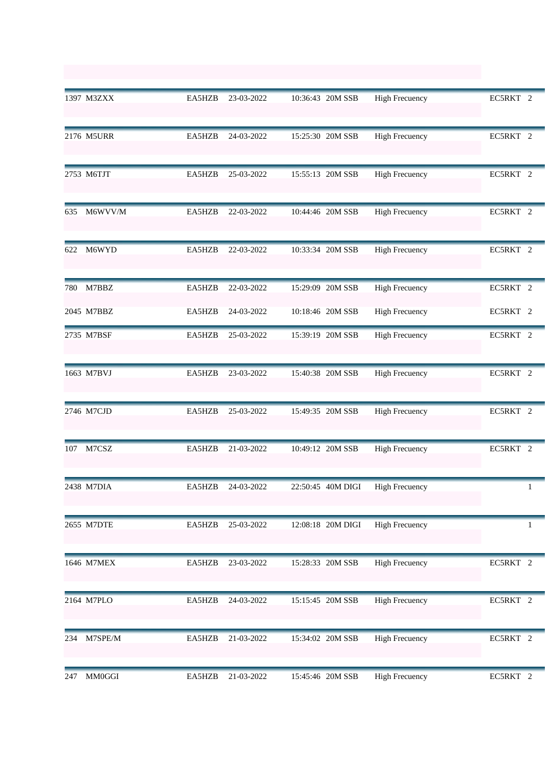|     | 1397 M3ZXX    | EA5HZB | 23-03-2022 | 10:36:43 20M SSB  | <b>High Frecuency</b> | EC5RKT <sub>2</sub> |
|-----|---------------|--------|------------|-------------------|-----------------------|---------------------|
|     | 2176 M5URR    | EA5HZB | 24-03-2022 | 15:25:30 20M SSB  | <b>High Frecuency</b> | EC5RKT 2            |
|     | 2753 M6TJT    | EA5HZB | 25-03-2022 | 15:55:13 20M SSB  | <b>High Frecuency</b> | EC5RKT 2            |
| 635 | M6WVV/M       | EA5HZB | 22-03-2022 | 10:44:46 20M SSB  | <b>High Frecuency</b> | EC5RKT 2            |
| 622 | M6WYD         | EA5HZB | 22-03-2022 | 10:33:34 20M SSB  | <b>High Frecuency</b> | EC5RKT 2            |
|     | 780 M7BBZ     | EA5HZB | 22-03-2022 | 15:29:09 20M SSB  | <b>High Frecuency</b> | EC5RKT 2            |
|     | 2045 M7BBZ    | EA5HZB | 24-03-2022 | 10:18:46 20M SSB  | <b>High Frecuency</b> | EC5RKT 2            |
|     | 2735 M7BSF    | EA5HZB | 25-03-2022 | 15:39:19 20M SSB  | <b>High Frecuency</b> | EC5RKT 2            |
|     | 1663 M7BVJ    | EA5HZB | 23-03-2022 | 15:40:38 20M SSB  | <b>High Frecuency</b> | EC5RKT 2            |
|     | 2746 M7CJD    | EA5HZB | 25-03-2022 | 15:49:35 20M SSB  | <b>High Frecuency</b> | EC5RKT 2            |
| 107 | M7CSZ         | EA5HZB | 21-03-2022 | 10:49:12 20M SSB  | <b>High Frecuency</b> | EC5RKT 2            |
|     | 2438 M7DIA    | EA5HZB | 24-03-2022 | 22:50:45 40M DIGI | <b>High Frecuency</b> |                     |
|     | 2655 M7DTE    | EA5HZB | 25-03-2022 | 12:08:18 20M DIGI | <b>High Frecuency</b> | 1                   |
|     | 1646 M7MEX    | EA5HZB | 23-03-2022 | 15:28:33 20M SSB  | <b>High Frecuency</b> | EC5RKT 2            |
|     | 2164 M7PLO    | EA5HZB | 24-03-2022 | 15:15:45 20M SSB  | <b>High Frecuency</b> | EC5RKT 2            |
| 234 | M7SPE/M       | EA5HZB | 21-03-2022 | 15:34:02 20M SSB  | <b>High Frecuency</b> | EC5RKT 2            |
| 247 | <b>MM0GGI</b> | EA5HZB | 21-03-2022 | 15:45:46 20M SSB  | <b>High Frecuency</b> | EC5RKT 2            |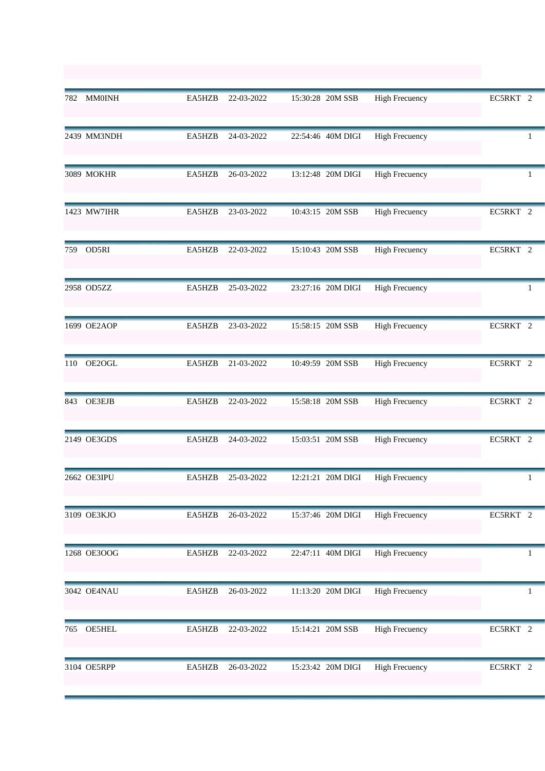| 782 | MM0INH        | EA5HZB | 22-03-2022 | 15:30:28 20M SSB  | <b>High Frecuency</b> | EC5RKT 2 |
|-----|---------------|--------|------------|-------------------|-----------------------|----------|
|     | 2439 MM3NDH   | EA5HZB | 24-03-2022 | 22:54:46 40M DIGI | <b>High Frecuency</b> | 1        |
|     | 3089 MOKHR    | EA5HZB | 26-03-2022 | 13:12:48 20M DIGI | <b>High Frecuency</b> |          |
|     | 1423 MW7IHR   | EA5HZB | 23-03-2022 | 10:43:15 20M SSB  | <b>High Frecuency</b> | EC5RKT 2 |
| 759 | OD5RI         | EA5HZB | 22-03-2022 | 15:10:43 20M SSB  | <b>High Frecuency</b> | EC5RKT 2 |
|     | 2958 OD5ZZ    | EA5HZB | 25-03-2022 | 23:27:16 20M DIGI | <b>High Frecuency</b> | 1        |
|     | 1699 OE2AOP   | EA5HZB | 23-03-2022 | 15:58:15 20M SSB  | <b>High Frecuency</b> | EC5RKT 2 |
| 110 | OE2OGL        | EA5HZB | 21-03-2022 | 10:49:59 20M SSB  | <b>High Frecuency</b> | EC5RKT 2 |
| 843 | <b>OE3EJB</b> | EA5HZB | 22-03-2022 | 15:58:18 20M SSB  | <b>High Frecuency</b> | EC5RKT 2 |
|     | 2149 OE3GDS   | EA5HZB | 24-03-2022 | 15:03:51 20M SSB  | <b>High Frecuency</b> | EC5RKT 2 |
|     | 2662 OE3IPU   | EA5HZB | 25-03-2022 | 12:21:21 20M DIGI | <b>High Frecuency</b> |          |
|     | 3109 OE3KJO   | EA5HZB | 26-03-2022 | 15:37:46 20M DIGI | <b>High Frecuency</b> | EC5RKT 2 |
|     | 1268 OE3OOG   | EA5HZB | 22-03-2022 | 22:47:11 40M DIGI | <b>High Frecuency</b> |          |
|     | 3042 OE4NAU   | EA5HZB | 26-03-2022 | 11:13:20 20M DIGI | <b>High Frecuency</b> | 1        |
| 765 | <b>OE5HEL</b> | EA5HZB | 22-03-2022 | 15:14:21 20M SSB  | <b>High Frecuency</b> | EC5RKT 2 |
|     | 3104 OE5RPP   | EA5HZB | 26-03-2022 | 15:23:42 20M DIGI | <b>High Frecuency</b> | EC5RKT 2 |
|     |               |        |            |                   |                       |          |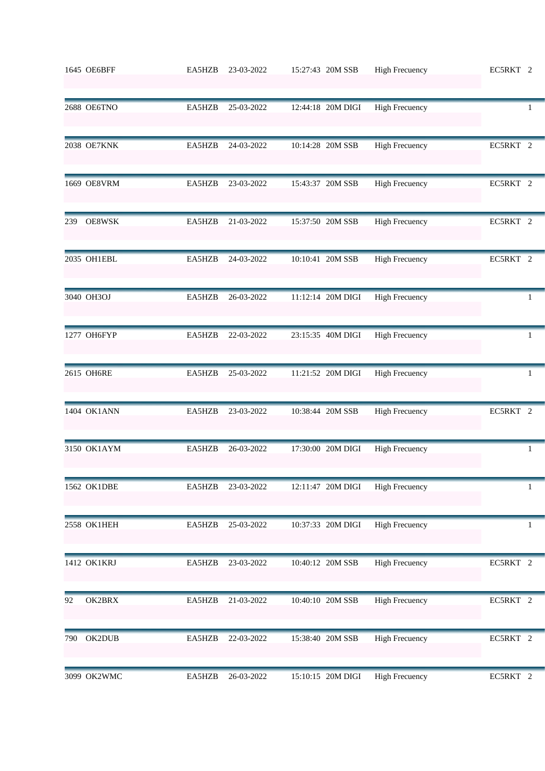|     | 1645 OE6BFF | EA5HZB | 23-03-2022 | 15:27:43 20M SSB  | <b>High Frecuency</b> | EC5RKT 2 |
|-----|-------------|--------|------------|-------------------|-----------------------|----------|
|     | 2688 OE6TNO | EA5HZB | 25-03-2022 | 12:44:18 20M DIGI | <b>High Frecuency</b> | 1        |
|     | 2038 OE7KNK | EA5HZB | 24-03-2022 | 10:14:28 20M SSB  | <b>High Frecuency</b> | EC5RKT 2 |
|     | 1669 OE8VRM | EA5HZB | 23-03-2022 | 15:43:37 20M SSB  | <b>High Frecuency</b> | EC5RKT 2 |
| 239 | OE8WSK      | EA5HZB | 21-03-2022 | 15:37:50 20M SSB  | <b>High Frecuency</b> | EC5RKT 2 |
|     | 2035 OH1EBL | EA5HZB | 24-03-2022 | 10:10:41 20M SSB  | <b>High Frecuency</b> | EC5RKT 2 |
|     | 3040 OH3OJ  | EA5HZB | 26-03-2022 | 11:12:14 20M DIGI | <b>High Frecuency</b> | 1        |
|     | 1277 OH6FYP | EA5HZB | 22-03-2022 | 23:15:35 40M DIGI | <b>High Frecuency</b> | 1        |
|     | 2615 OH6RE  | EA5HZB | 25-03-2022 | 11:21:52 20M DIGI | <b>High Frecuency</b> | 1        |
|     | 1404 OK1ANN | EA5HZB | 23-03-2022 | 10:38:44 20M SSB  | <b>High Frecuency</b> | EC5RKT 2 |
|     | 3150 OK1AYM | EA5HZB | 26-03-2022 | 17:30:00 20M DIGI | <b>High Frecuency</b> | 1        |
|     | 1562 OK1DBE | EA5HZB | 23-03-2022 | 12:11:47 20M DIGI | <b>High Frecuency</b> | 1        |
|     | 2558 OK1HEH | EA5HZB | 25-03-2022 | 10:37:33 20M DIGI | <b>High Frecuency</b> | 1        |
|     | 1412 OK1KRJ | EA5HZB | 23-03-2022 | 10:40:12 20M SSB  | <b>High Frecuency</b> | EC5RKT 2 |
| 92  | OK2BRX      | EA5HZB | 21-03-2022 | 10:40:10 20M SSB  | <b>High Frecuency</b> | EC5RKT 2 |
| 790 | OK2DUB      | EA5HZB | 22-03-2022 | 15:38:40 20M SSB  | <b>High Frecuency</b> | EC5RKT 2 |
|     | 3099 OK2WMC | EA5HZB | 26-03-2022 | 15:10:15 20M DIGI | <b>High Frecuency</b> | EC5RKT 2 |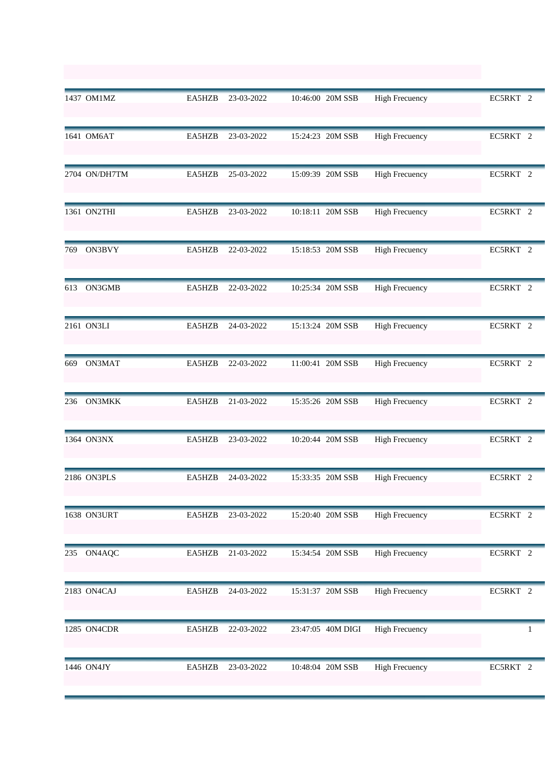|     | 1437 OM1MZ    | EA5HZB | 23-03-2022 | 10:46:00 20M SSB  | <b>High Frecuency</b> | EC5RKT 2 |
|-----|---------------|--------|------------|-------------------|-----------------------|----------|
|     | 1641 OM6AT    | EA5HZB | 23-03-2022 | 15:24:23 20M SSB  | <b>High Frecuency</b> | EC5RKT 2 |
|     | 2704 ON/DH7TM | EA5HZB | 25-03-2022 | 15:09:39 20M SSB  | <b>High Frecuency</b> | EC5RKT 2 |
|     | 1361 ON2THI   | EA5HZB | 23-03-2022 | 10:18:11 20M SSB  | <b>High Frecuency</b> | EC5RKT 2 |
| 769 | ON3BVY        | EA5HZB | 22-03-2022 | 15:18:53 20M SSB  | <b>High Frecuency</b> | EC5RKT 2 |
| 613 | ON3GMB        | EA5HZB | 22-03-2022 | 10:25:34 20M SSB  | <b>High Frecuency</b> | EC5RKT 2 |
|     | 2161 ON3LI    | EA5HZB | 24-03-2022 | 15:13:24 20M SSB  | <b>High Frecuency</b> | EC5RKT 2 |
| 669 | ON3MAT        | EA5HZB | 22-03-2022 | 11:00:41 20M SSB  | <b>High Frecuency</b> | EC5RKT 2 |
| 236 | <b>ON3MKK</b> | EA5HZB | 21-03-2022 | 15:35:26 20M SSB  | <b>High Frecuency</b> | EC5RKT 2 |
|     | 1364 ON3NX    | EA5HZB | 23-03-2022 | 10:20:44 20M SSB  | <b>High Frecuency</b> | EC5RKT 2 |
|     | 2186 ON3PLS   | EA5HZB | 24-03-2022 | 15:33:35 20M SSB  | <b>High Frecuency</b> | EC5RKT 2 |
|     | 1638 ON3URT   | EA5HZB | 23-03-2022 | 15:20:40 20M SSB  | <b>High Frecuency</b> | EC5RKT 2 |
| 235 | ON4AQC        | EA5HZB | 21-03-2022 | 15:34:54 20M SSB  | <b>High Frecuency</b> | EC5RKT 2 |
|     | 2183 ON4CAJ   | EA5HZB | 24-03-2022 | 15:31:37 20M SSB  | <b>High Frecuency</b> | EC5RKT 2 |
|     | 1285 ON4CDR   | EA5HZB | 22-03-2022 | 23:47:05 40M DIGI | <b>High Frecuency</b> |          |
|     | 1446 ON4JY    | EA5HZB | 23-03-2022 | 10:48:04 20M SSB  | <b>High Frecuency</b> | EC5RKT 2 |
|     |               |        |            |                   |                       |          |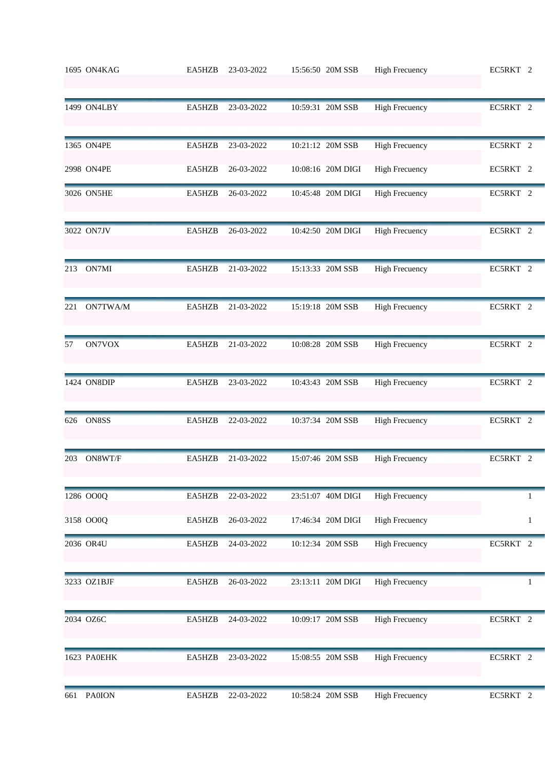|     | 1695 ON4KAG   | EA5HZB | 23-03-2022 | 15:56:50 20M SSB  | <b>High Frecuency</b> | EC5RKT 2     |
|-----|---------------|--------|------------|-------------------|-----------------------|--------------|
|     | 1499 ON4LBY   | EA5HZB | 23-03-2022 | 10:59:31 20M SSB  | <b>High Frecuency</b> | EC5RKT 2     |
|     | 1365 ON4PE    | EA5HZB | 23-03-2022 | 10:21:12 20M SSB  | <b>High Frecuency</b> | EC5RKT 2     |
|     | 2998 ON4PE    | EA5HZB | 26-03-2022 | 10:08:16 20M DIGI | <b>High Frecuency</b> | EC5RKT 2     |
|     | 3026 ON5HE    | EA5HZB | 26-03-2022 | 10:45:48 20M DIGI | <b>High Frecuency</b> | EC5RKT 2     |
|     | 3022 ON7JV    | EA5HZB | 26-03-2022 | 10:42:50 20M DIGI | <b>High Frecuency</b> | EC5RKT 2     |
| 213 | ON7MI         | EA5HZB | 21-03-2022 | 15:13:33 20M SSB  | <b>High Frecuency</b> | EC5RKT 2     |
| 221 | ON7TWA/M      | EA5HZB | 21-03-2022 | 15:19:18 20M SSB  | <b>High Frecuency</b> | EC5RKT 2     |
| 57  | ON7VOX        | EA5HZB | 21-03-2022 | 10:08:28 20M SSB  | <b>High Frecuency</b> | EC5RKT 2     |
|     | 1424 ON8DIP   | EA5HZB | 23-03-2022 | 10:43:43 20M SSB  | <b>High Frecuency</b> | EC5RKT 2     |
| 626 | ON8SS         | EA5HZB | 22-03-2022 | 10:37:34 20M SSB  | <b>High Frecuency</b> | EC5RKT 2     |
| 203 | ON8WT/F       | EA5HZB | 21-03-2022 | 15:07:46 20M SSB  | <b>High Frecuency</b> | EC5RKT 2     |
|     | 1286 OO0Q     | EA5HZB | 22-03-2022 | 23:51:07 40M DIGI | <b>High Frecuency</b> | 1            |
|     | 3158 OO0Q     | EA5HZB | 26-03-2022 | 17:46:34 20M DIGI | <b>High Frecuency</b> | $\mathbf{1}$ |
|     | 2036 OR4U     | EA5HZB | 24-03-2022 | 10:12:34 20M SSB  | <b>High Frecuency</b> | EC5RKT 2     |
|     | 3233 OZ1BJF   | EA5HZB | 26-03-2022 | 23:13:11 20M DIGI | <b>High Frecuency</b> | 1            |
|     | 2034 OZ6C     | EA5HZB | 24-03-2022 | 10:09:17 20M SSB  | <b>High Frecuency</b> | EC5RKT 2     |
|     | 1623 PA0EHK   | EA5HZB | 23-03-2022 | 15:08:55 20M SSB  | <b>High Frecuency</b> | EC5RKT 2     |
| 661 | <b>PA0ION</b> | EA5HZB | 22-03-2022 | 10:58:24 20M SSB  | <b>High Frecuency</b> | EC5RKT 2     |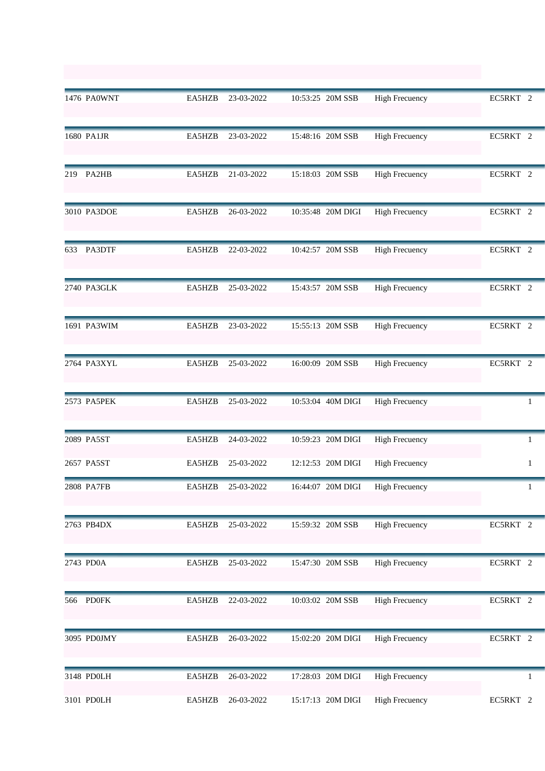|     | 1476 PA0WNT | EA5HZB | 23-03-2022 | 10:53:25 20M SSB  | <b>High Frecuency</b> | EC5RKT 2     |
|-----|-------------|--------|------------|-------------------|-----------------------|--------------|
|     | 1680 PA1JR  | EA5HZB | 23-03-2022 | 15:48:16 20M SSB  | <b>High Frecuency</b> | EC5RKT 2     |
| 219 | PA2HB       | EA5HZB | 21-03-2022 | 15:18:03 20M SSB  | <b>High Frecuency</b> | EC5RKT 2     |
|     | 3010 PA3DOE | EA5HZB | 26-03-2022 | 10:35:48 20M DIGI | <b>High Frecuency</b> | EC5RKT 2     |
| 633 | PA3DTF      | EA5HZB | 22-03-2022 | 10:42:57 20M SSB  | <b>High Frecuency</b> | EC5RKT 2     |
|     | 2740 PA3GLK | EA5HZB | 25-03-2022 | 15:43:57 20M SSB  | <b>High Frecuency</b> | EC5RKT 2     |
|     | 1691 PA3WIM | EA5HZB | 23-03-2022 | 15:55:13 20M SSB  | <b>High Frecuency</b> | EC5RKT 2     |
|     | 2764 PA3XYL | EA5HZB | 25-03-2022 | 16:00:09 20M SSB  | <b>High Frecuency</b> | EC5RKT 2     |
|     | 2573 PA5PEK | EA5HZB | 25-03-2022 | 10:53:04 40M DIGI | <b>High Frecuency</b> | 1            |
|     | 2089 PA5ST  | EA5HZB | 24-03-2022 | 10:59:23 20M DIGI | <b>High Frecuency</b> | $\mathbf{1}$ |
|     | 2657 PA5ST  | EA5HZB | 25-03-2022 | 12:12:53 20M DIGI | <b>High Frecuency</b> | $\mathbf{1}$ |
|     | 2808 PA7FB  | EA5HZB | 25-03-2022 | 16:44:07 20M DIGI | High Frecuency        |              |
|     | 2763 PB4DX  | EA5HZB | 25-03-2022 | 15:59:32 20M SSB  | <b>High Frecuency</b> | EC5RKT 2     |
|     | 2743 PD0A   | EA5HZB | 25-03-2022 | 15:47:30 20M SSB  | <b>High Frecuency</b> | EC5RKT 2     |
|     | 566 PD0FK   | EA5HZB | 22-03-2022 | 10:03:02 20M SSB  | <b>High Frecuency</b> | EC5RKT 2     |
|     | 3095 PD0JMY | EA5HZB | 26-03-2022 | 15:02:20 20M DIGI | <b>High Frecuency</b> | EC5RKT 2     |
|     | 3148 PD0LH  | EA5HZB | 26-03-2022 | 17:28:03 20M DIGI | <b>High Frecuency</b> | 1            |
|     | 3101 PD0LH  | EA5HZB | 26-03-2022 | 15:17:13 20M DIGI | <b>High Frecuency</b> | EC5RKT 2     |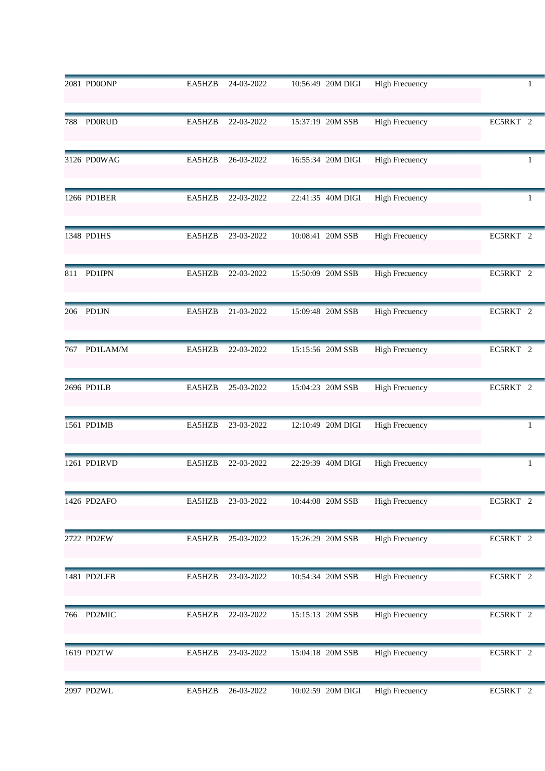|                                              | 2081 PD0ONP  | EA5HZB | 24-03-2022 | 10:56:49 20M DIGI | <b>High Frecuency</b> |          |
|----------------------------------------------|--------------|--------|------------|-------------------|-----------------------|----------|
| 788<br>1348 PD1HS<br>206 PD1JN<br>2696 PD1LB | PD0RUD       | EA5HZB | 22-03-2022 | 15:37:19 20M SSB  | <b>High Frecuency</b> | EC5RKT 2 |
|                                              | 3126 PD0WAG  | EA5HZB | 26-03-2022 | 16:55:34 20M DIGI | <b>High Frecuency</b> | 1        |
|                                              | 1266 PD1BER  | EA5HZB | 22-03-2022 | 22:41:35 40M DIGI | <b>High Frecuency</b> | 1        |
|                                              |              | EA5HZB | 23-03-2022 | 10:08:41 20M SSB  | <b>High Frecuency</b> | EC5RKT 2 |
|                                              | 811 PD1IPN   | EA5HZB | 22-03-2022 | 15:50:09 20M SSB  | <b>High Frecuency</b> | EC5RKT 2 |
|                                              |              | EA5HZB | 21-03-2022 | 15:09:48 20M SSB  | <b>High Frecuency</b> | EC5RKT 2 |
|                                              | 767 PD1LAM/M | EA5HZB | 22-03-2022 | 15:15:56 20M SSB  | <b>High Frecuency</b> | EC5RKT 2 |
|                                              |              | EA5HZB | 25-03-2022 | 15:04:23 20M SSB  | <b>High Frecuency</b> | EC5RKT 2 |
|                                              | 1561 PD1MB   | EA5HZB | 23-03-2022 | 12:10:49 20M DIGI | <b>High Frecuency</b> | 1        |
|                                              | 1261 PD1RVD  | EA5HZB | 22-03-2022 | 22:29:39 40M DIGI | <b>High Frecuency</b> | 1        |
|                                              | 1426 PD2AFO  | EA5HZB | 23-03-2022 | 10:44:08 20M SSB  | <b>High Frecuency</b> | EC5RKT 2 |
|                                              | 2722 PD2EW   | EA5HZB | 25-03-2022 | 15:26:29 20M SSB  | <b>High Frecuency</b> | EC5RKT 2 |
|                                              | 1481 PD2LFB  | EA5HZB | 23-03-2022 | 10:54:34 20M SSB  | <b>High Frecuency</b> | EC5RKT 2 |
|                                              | 766 PD2MIC   | EA5HZB | 22-03-2022 | 15:15:13 20M SSB  | <b>High Frecuency</b> | EC5RKT 2 |
|                                              | 1619 PD2TW   | EA5HZB | 23-03-2022 | 15:04:18 20M SSB  | <b>High Frecuency</b> | EC5RKT 2 |
|                                              | 2997 PD2WL   | EA5HZB | 26-03-2022 | 10:02:59 20M DIGI | <b>High Frecuency</b> | EC5RKT 2 |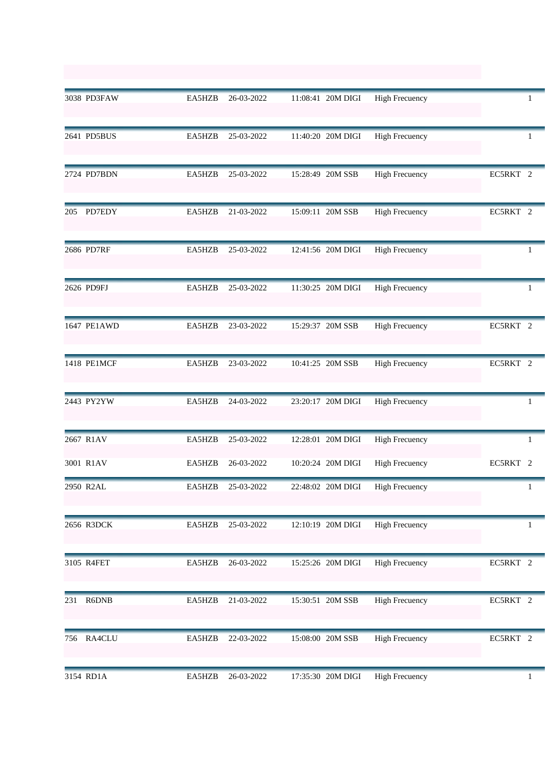|     | 3038 PD3FAW | EA5HZB | 26-03-2022 | 11:08:41 20M DIGI | <b>High Frecuency</b> | 1            |
|-----|-------------|--------|------------|-------------------|-----------------------|--------------|
|     | 2641 PD5BUS | EA5HZB | 25-03-2022 | 11:40:20 20M DIGI | <b>High Frecuency</b> | 1            |
|     | 2724 PD7BDN | EA5HZB | 25-03-2022 | 15:28:49 20M SSB  | <b>High Frecuency</b> | EC5RKT 2     |
|     | 205 PD7EDY  | EA5HZB | 21-03-2022 | 15:09:11 20M SSB  | <b>High Frecuency</b> | EC5RKT 2     |
|     | 2686 PD7RF  | EA5HZB | 25-03-2022 | 12:41:56 20M DIGI | <b>High Frecuency</b> | 1            |
|     | 2626 PD9FJ  | EA5HZB | 25-03-2022 | 11:30:25 20M DIGI | <b>High Frecuency</b> | 1            |
|     | 1647 PE1AWD | EA5HZB | 23-03-2022 | 15:29:37 20M SSB  | <b>High Frecuency</b> | EC5RKT 2     |
|     | 1418 PE1MCF | EA5HZB | 23-03-2022 | 10:41:25 20M SSB  | <b>High Frecuency</b> | EC5RKT 2     |
|     | 2443 PY2YW  | EA5HZB | 24-03-2022 | 23:20:17 20M DIGI | <b>High Frecuency</b> | 1            |
|     | 2667 R1AV   | EA5HZB | 25-03-2022 | 12:28:01 20M DIGI | <b>High Frecuency</b> | 1            |
|     | 3001 R1AV   | EA5HZB | 26-03-2022 | 10:20:24 20M DIGI | <b>High Frecuency</b> | EC5RKT 2     |
|     | 2950 R2AL   | EA5HZB | 25-03-2022 | 22:48:02 20M DIGI | <b>High Frecuency</b> |              |
|     | 2656 R3DCK  | EA5HZB | 25-03-2022 | 12:10:19 20M DIGI | <b>High Frecuency</b> | $\mathbf{1}$ |
|     | 3105 R4FET  | EA5HZB | 26-03-2022 | 15:25:26 20M DIGI | <b>High Frecuency</b> | EC5RKT 2     |
|     | 231 R6DNB   | EA5HZB | 21-03-2022 | 15:30:51 20M SSB  | <b>High Frecuency</b> | EC5RKT 2     |
| 756 | RA4CLU      | EA5HZB | 22-03-2022 | 15:08:00 20M SSB  | <b>High Frecuency</b> | EC5RKT 2     |
|     | 3154 RD1A   | EA5HZB | 26-03-2022 | 17:35:30 20M DIGI | <b>High Frecuency</b> | 1            |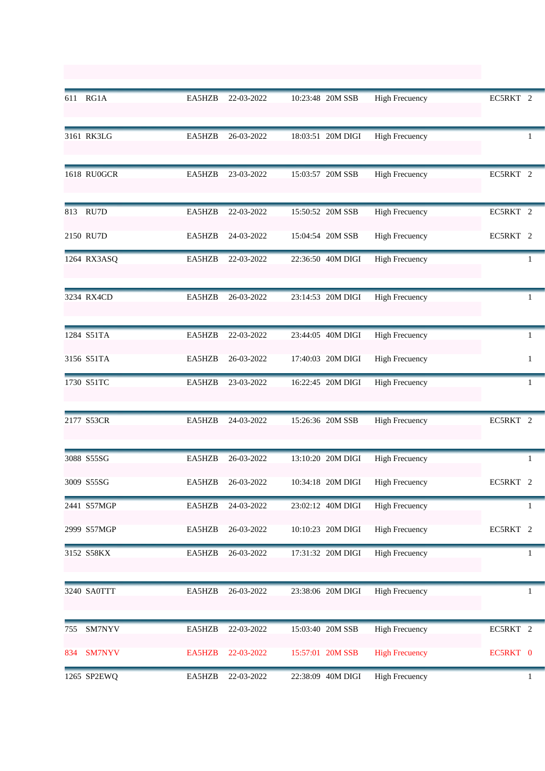| 611 | RG1A          | EA5HZB | 22-03-2022 | 10:23:48 20M SSB  | <b>High Frecuency</b> | EC5RKT 2      |
|-----|---------------|--------|------------|-------------------|-----------------------|---------------|
|     | 3161 RK3LG    | EA5HZB | 26-03-2022 | 18:03:51 20M DIGI | <b>High Frecuency</b> | 1             |
|     | 1618 RU0GCR   | EA5HZB | 23-03-2022 | 15:03:57 20M SSB  | <b>High Frecuency</b> | EC5RKT 2      |
|     | 813 RU7D      | EA5HZB | 22-03-2022 | 15:50:52 20M SSB  | <b>High Frecuency</b> | EC5RKT 2      |
|     | 2150 RU7D     | EA5HZB | 24-03-2022 | 15:04:54 20M SSB  | <b>High Frecuency</b> | EC5RKT 2      |
|     | 1264 RX3ASQ   | EA5HZB | 22-03-2022 | 22:36:50 40M DIGI | <b>High Frecuency</b> | 1             |
|     | 3234 RX4CD    | EA5HZB | 26-03-2022 | 23:14:53 20M DIGI | <b>High Frecuency</b> | 1             |
|     | 1284 S51TA    | EA5HZB | 22-03-2022 | 23:44:05 40M DIGI | <b>High Frecuency</b> | 1             |
|     | 3156 S51TA    | EA5HZB | 26-03-2022 | 17:40:03 20M DIGI | <b>High Frecuency</b> | 1             |
|     | 1730 S51TC    | EA5HZB | 23-03-2022 | 16:22:45 20M DIGI | <b>High Frecuency</b> | 1             |
|     | 2177 S53CR    | EA5HZB | 24-03-2022 | 15:26:36 20M SSB  | <b>High Frecuency</b> | EC5RKT 2      |
|     | 3088 S55SG    | EA5HZB | 26-03-2022 | 13:10:20 20M DIGI | <b>High Frecuency</b> | 1             |
|     | 3009 S55SG    | EA5HZB | 26-03-2022 | 10:34:18 20M DIGI | <b>High Frecuency</b> | EC5RKT<br>- 2 |
|     | 2441 S57MGP   | EA5HZB | 24-03-2022 | 23:02:12 40M DIGI | <b>High Frecuency</b> | 1             |
|     | 2999 S57MGP   | EA5HZB | 26-03-2022 | 10:10:23 20M DIGI | <b>High Frecuency</b> | EC5RKT 2      |
|     | 3152 S58KX    | EA5HZB | 26-03-2022 | 17:31:32 20M DIGI | <b>High Frecuency</b> | 1             |
|     | 3240 SA0TTT   | EA5HZB | 26-03-2022 | 23:38:06 20M DIGI | <b>High Frecuency</b> | 1             |
| 755 | SM7NYV        | EA5HZB | 22-03-2022 | 15:03:40 20M SSB  | <b>High Frecuency</b> | EC5RKT 2      |
| 834 | <b>SM7NYV</b> | EA5HZB | 22-03-2022 | 15:57:01 20M SSB  | <b>High Frecuency</b> | EC5RKT 0      |
|     | 1265 SP2EWQ   | EA5HZB | 22-03-2022 | 22:38:09 40M DIGI | <b>High Frecuency</b> | 1             |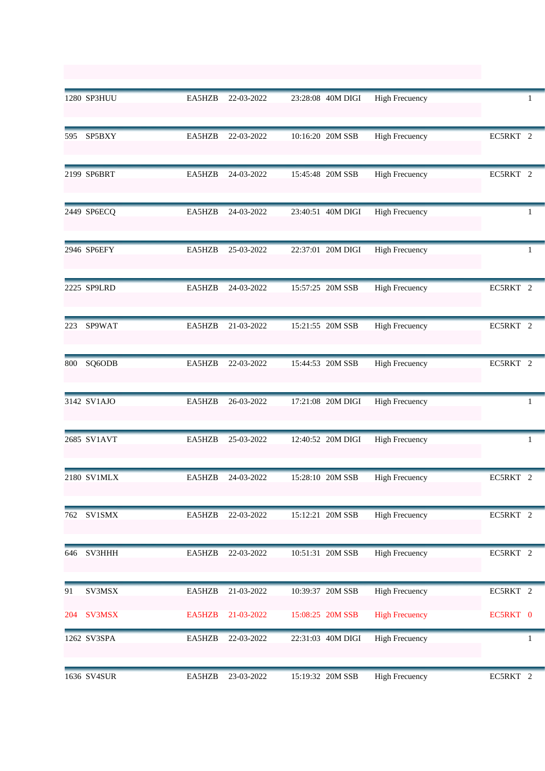|     | 1280 SP3HUU   | EA5HZB | 22-03-2022 | 23:28:08 40M DIGI | <b>High Frecuency</b> |          |
|-----|---------------|--------|------------|-------------------|-----------------------|----------|
|     | 595 SP5BXY    | EA5HZB | 22-03-2022 | 10:16:20 20M SSB  | <b>High Frecuency</b> | EC5RKT 2 |
|     | 2199 SP6BRT   | EA5HZB | 24-03-2022 | 15:45:48 20M SSB  | <b>High Frecuency</b> | EC5RKT 2 |
|     | 2449 SP6ECQ   | EA5HZB | 24-03-2022 | 23:40:51 40M DIGI | <b>High Frecuency</b> | 1        |
|     | 2946 SP6EFY   | EA5HZB | 25-03-2022 | 22:37:01 20M DIGI | <b>High Frecuency</b> | -1       |
|     | 2225 SP9LRD   | EA5HZB | 24-03-2022 | 15:57:25 20M SSB  | <b>High Frecuency</b> | EC5RKT 2 |
| 223 | SP9WAT        | EA5HZB | 21-03-2022 | 15:21:55 20M SSB  | <b>High Frecuency</b> | EC5RKT 2 |
| 800 | SQ6ODB        | EA5HZB | 22-03-2022 | 15:44:53 20M SSB  | <b>High Frecuency</b> | EC5RKT 2 |
|     | 3142 SV1AJO   | EA5HZB | 26-03-2022 | 17:21:08 20M DIGI | <b>High Frecuency</b> | 1        |
|     | 2685 SV1AVT   | EA5HZB | 25-03-2022 | 12:40:52 20M DIGI | <b>High Frecuency</b> | 1        |
|     | 2180 SV1MLX   | EA5HZB | 24-03-2022 | 15:28:10 20M SSB  | <b>High Frecuency</b> | EC5RKT 2 |
| 762 | SV1SMX        | EA5HZB | 22-03-2022 | 15:12:21 20M SSB  | <b>High Frecuency</b> | EC5RKT 2 |
| 646 | SV3HHH        | EA5HZB | 22-03-2022 | 10:51:31 20M SSB  | <b>High Frecuency</b> | EC5RKT 2 |
| 91  | SV3MSX        | EA5HZB | 21-03-2022 | 10:39:37 20M SSB  | <b>High Frecuency</b> | EC5RKT 2 |
| 204 | <b>SV3MSX</b> | EA5HZB | 21-03-2022 | 15:08:25 20M SSB  | <b>High Frecuency</b> | EC5RKT 0 |
|     | 1262 SV3SPA   | EA5HZB | 22-03-2022 | 22:31:03 40M DIGI | <b>High Frecuency</b> |          |
|     | 1636 SV4SUR   | EA5HZB | 23-03-2022 | 15:19:32 20M SSB  | <b>High Frecuency</b> | EC5RKT 2 |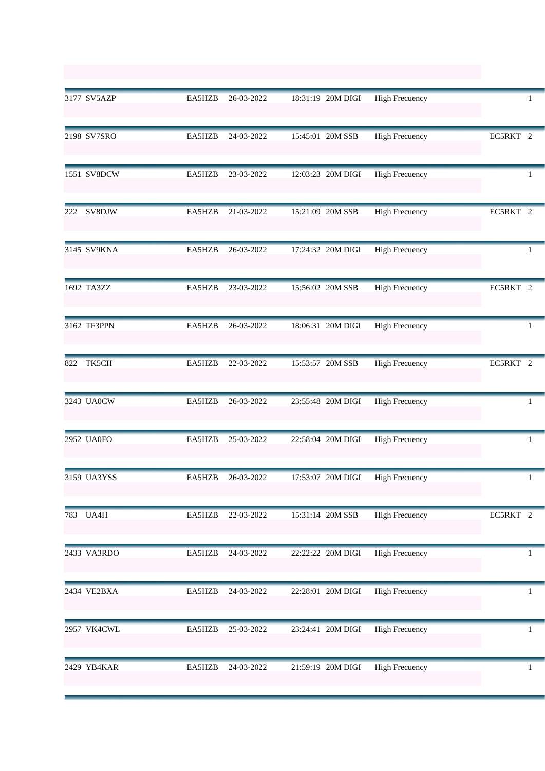|     | 3177 SV5AZP | EA5HZB | 26-03-2022 | 18:31:19 20M DIGI | <b>High Frecuency</b> |              |
|-----|-------------|--------|------------|-------------------|-----------------------|--------------|
|     | 2198 SV7SRO | EA5HZB | 24-03-2022 | 15:45:01 20M SSB  | <b>High Frecuency</b> | EC5RKT 2     |
|     | 1551 SV8DCW | EA5HZB | 23-03-2022 | 12:03:23 20M DIGI | <b>High Frecuency</b> | 1            |
| 222 | SV8DJW      | EA5HZB | 21-03-2022 | 15:21:09 20M SSB  | <b>High Frecuency</b> | EC5RKT 2     |
|     | 3145 SV9KNA | EA5HZB | 26-03-2022 | 17:24:32 20M DIGI | <b>High Frecuency</b> | -1           |
|     | 1692 TA3ZZ  | EA5HZB | 23-03-2022 | 15:56:02 20M SSB  | <b>High Frecuency</b> | EC5RKT 2     |
|     | 3162 TF3PPN | EA5HZB | 26-03-2022 | 18:06:31 20M DIGI | <b>High Frecuency</b> | 1            |
| 822 | TK5CH       | EA5HZB | 22-03-2022 | 15:53:57 20M SSB  | <b>High Frecuency</b> | EC5RKT 2     |
|     | 3243 UA0CW  | EA5HZB | 26-03-2022 | 23:55:48 20M DIGI | <b>High Frecuency</b> | 1            |
|     | 2952 UA0FO  | EA5HZB | 25-03-2022 | 22:58:04 20M DIGI | <b>High Frecuency</b> | $\mathbf{1}$ |
|     | 3159 UA3YSS | EA5HZB | 26-03-2022 | 17:53:07 20M DIGI | <b>High Frecuency</b> | 1            |
|     | 783 UA4H    | EA5HZB | 22-03-2022 | 15:31:14 20M SSB  | <b>High Frecuency</b> | EC5RKT 2     |
|     | 2433 VA3RDO | EA5HZB | 24-03-2022 | 22:22:22 20M DIGI | <b>High Frecuency</b> | 1            |
|     | 2434 VE2BXA | EA5HZB | 24-03-2022 | 22:28:01 20M DIGI | <b>High Frecuency</b> | 1            |
|     | 2957 VK4CWL | EA5HZB | 25-03-2022 | 23:24:41 20M DIGI | <b>High Frecuency</b> | 1            |
|     | 2429 YB4KAR | EA5HZB | 24-03-2022 | 21:59:19 20M DIGI | <b>High Frecuency</b> | 1            |
|     |             |        |            |                   |                       |              |